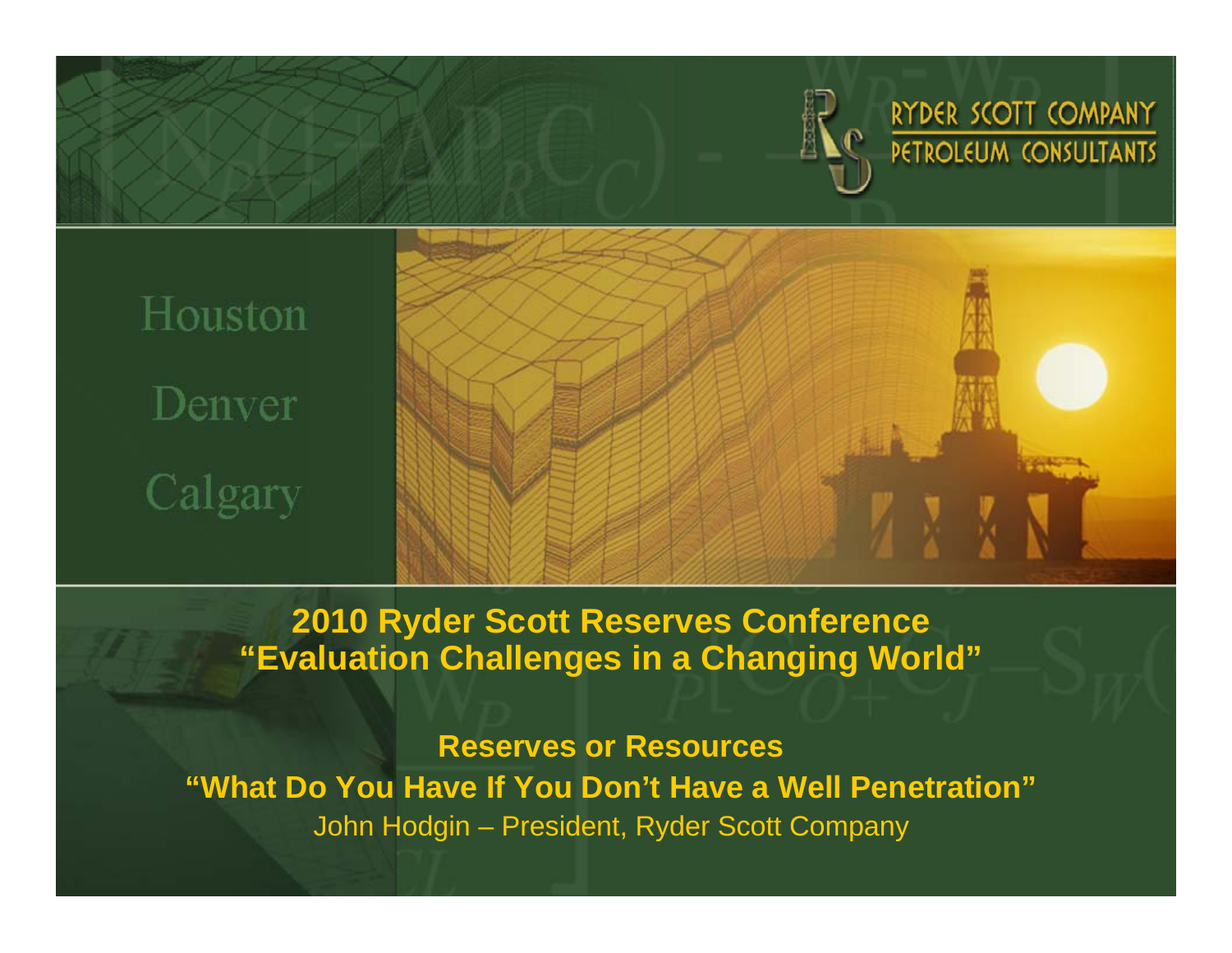

RYDER SCOTT COMPANY PETROLEUM CONSULTANTS

# Houston Denver Calgary



**2010 Ryder Scott Reserves Conference "Evaluation Challenges in a Changing World"**

**Reserves or Resources "What Do You Have If You Don't Have a Well Penetration"** John Hodgin – President, Ryder Scott Company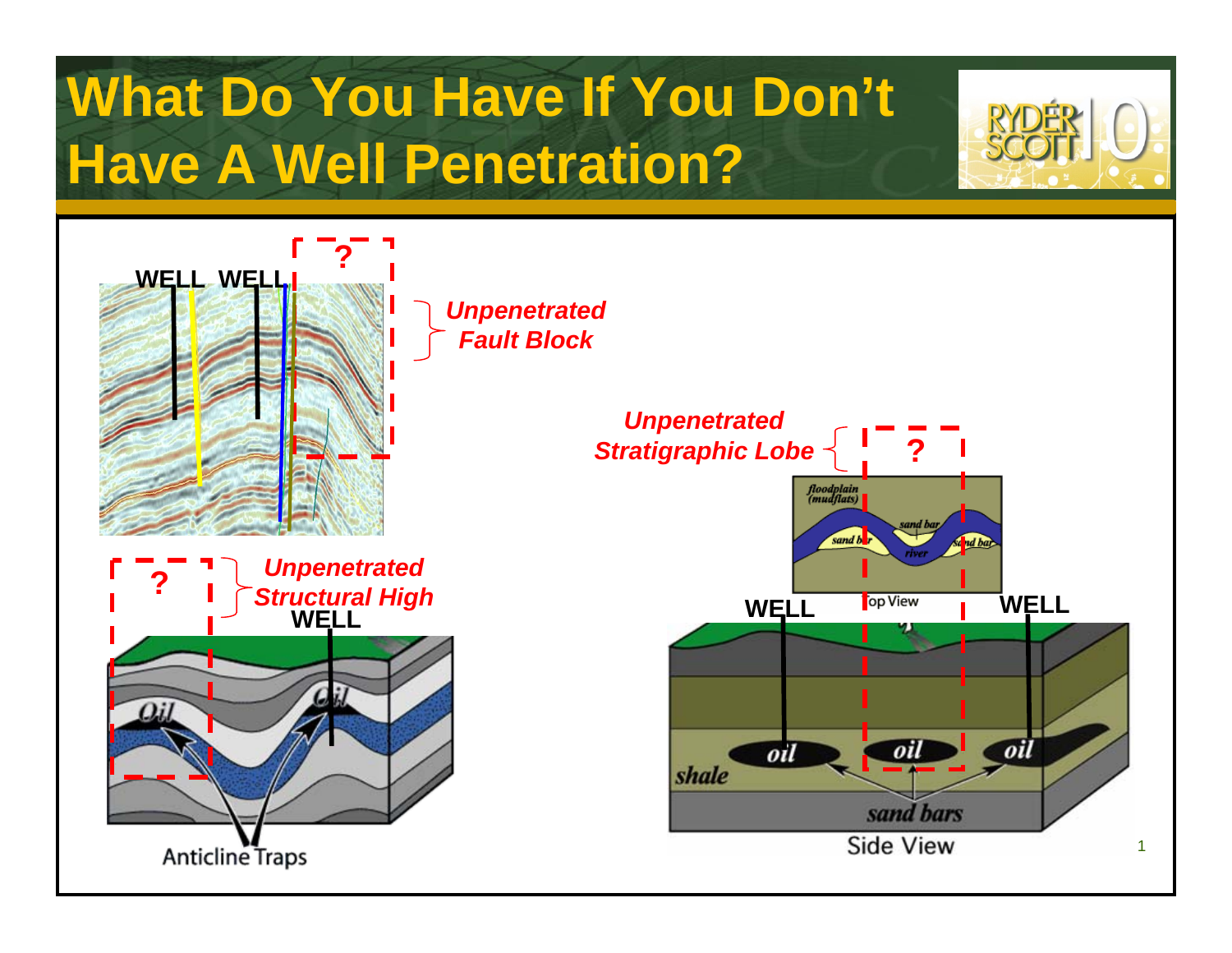# **What Do You Have If You Don't Have A Well Penetration?**

*Unpenetrated Fault Block*







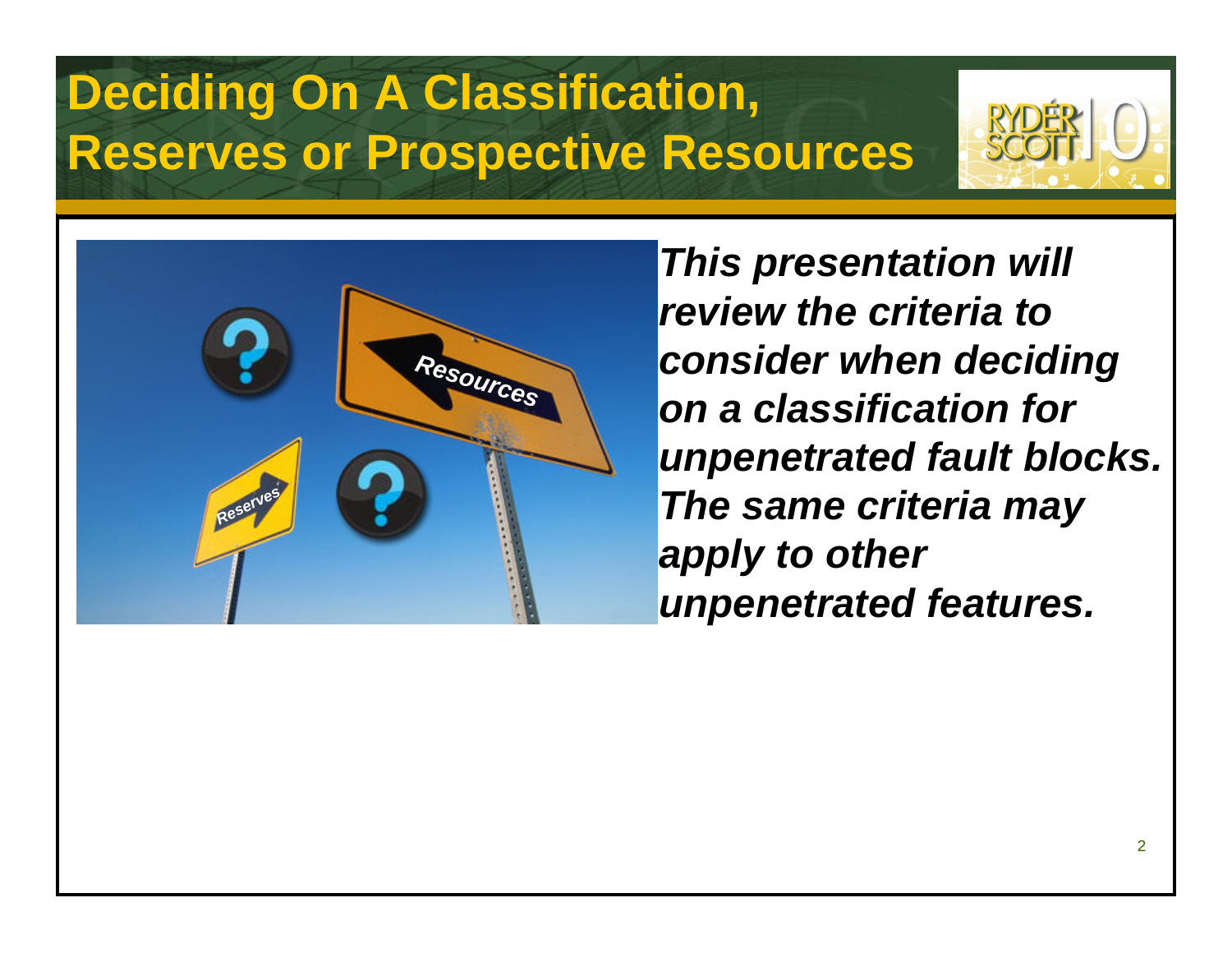## **Deciding On A Classification, Reserves or Prospective Resources**





*This presentation will review the criteria to consider when deciding on a classification for unpenetrated fault blocks. The same criteria may apply to other unpenetrated features.*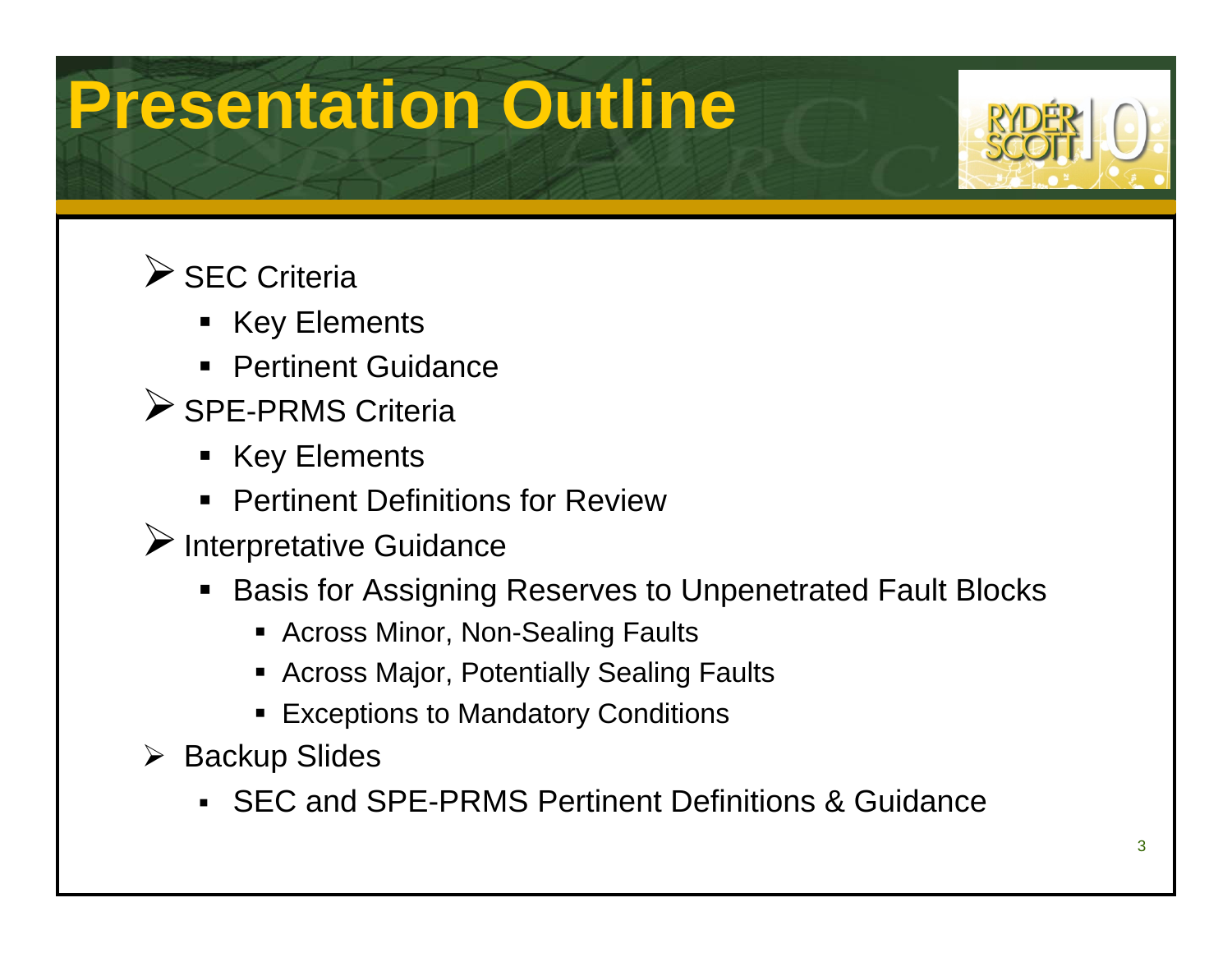# **Presentation Outline**



### $\triangleright$  SEC Criteria

- Key Elements
- Pertinent Guidance
- ▶ SPE-PRMS Criteria
	- Key Elements
	- **Pertinent Definitions for Review**
- $\blacktriangleright$  Interpretative Guidance
	- $\blacksquare$  Basis for Assigning Reserves to Unpenetrated Fault Blocks
		- Across Minor, Non-Sealing Faults
		- Across Major, Potentially Sealing Faults
		- **Exceptions to Mandatory Conditions**
- ¾ Backup Slides
	- SEC and SPE-PRMS Pertinent Definitions & Guidance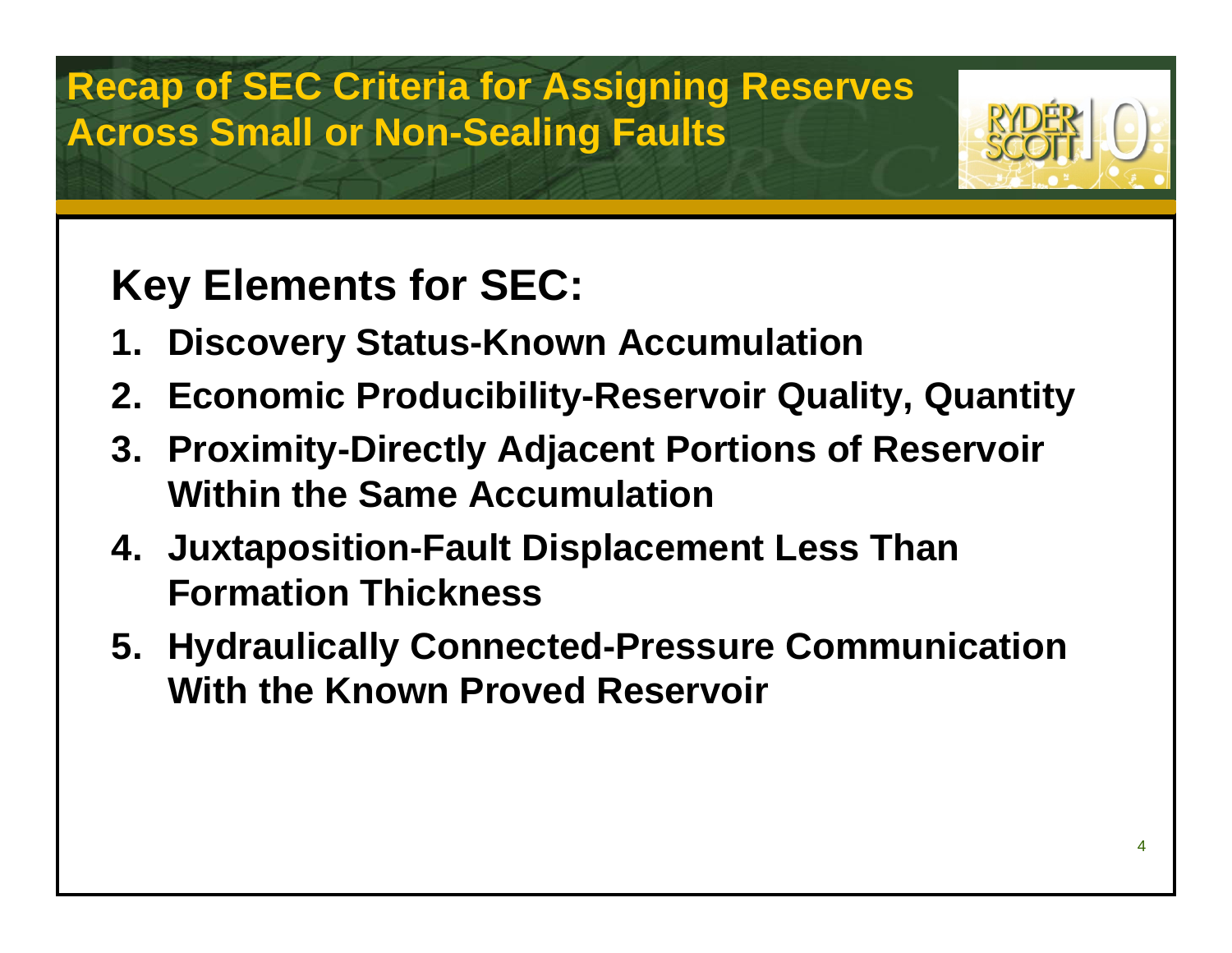### **Recap of SEC Criteria for Assigning Reserves Across Small or Non-Sealing Faults**

## **Key Elements for SEC:**

- **1. Discovery Status-Known Accumulation**
- **2. Economic Producibility-Reservoir Quality, Quantity**
- **3. Proximity-Directly Adjacent Portions of Reservoir Within the Same Accumulation**
- **4. Juxtaposition-Fault Displacement Less Than Formation Thickness**
- **5. Hydraulically Connected-Pressure Communication With the Known Proved Reservoir**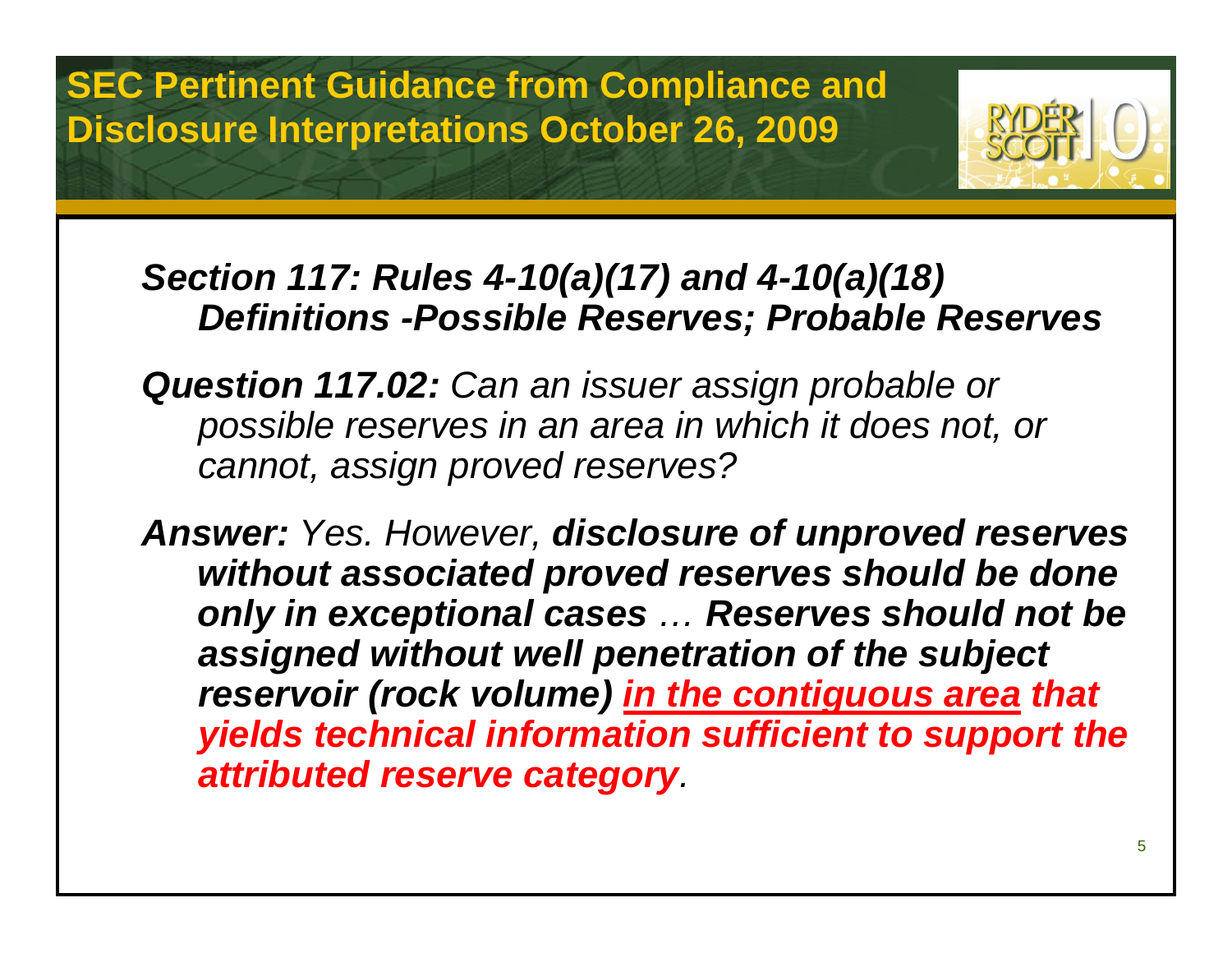**SEC Pertinent Guidance from Compliance and Disclosure Interpretations October 26, 2009**



### *Section 117: Rules 4-10(a)(17) and 4-10(a)(18) Definitions -Possible Reserves; Probable Reserves*

*Question 117.02: Can an issuer assign probable or possible reserves in an area in which it does not, or cannot, assign proved reserves?*

*Answer: Yes. However, disclosure of unproved reserves without associated proved reserves should be done only in exceptional cases … Reserves should not be assigned without well penetration of the subject reservoir (rock volume) in the contiguous area that yields technical information sufficient to support the attributed reserve category.*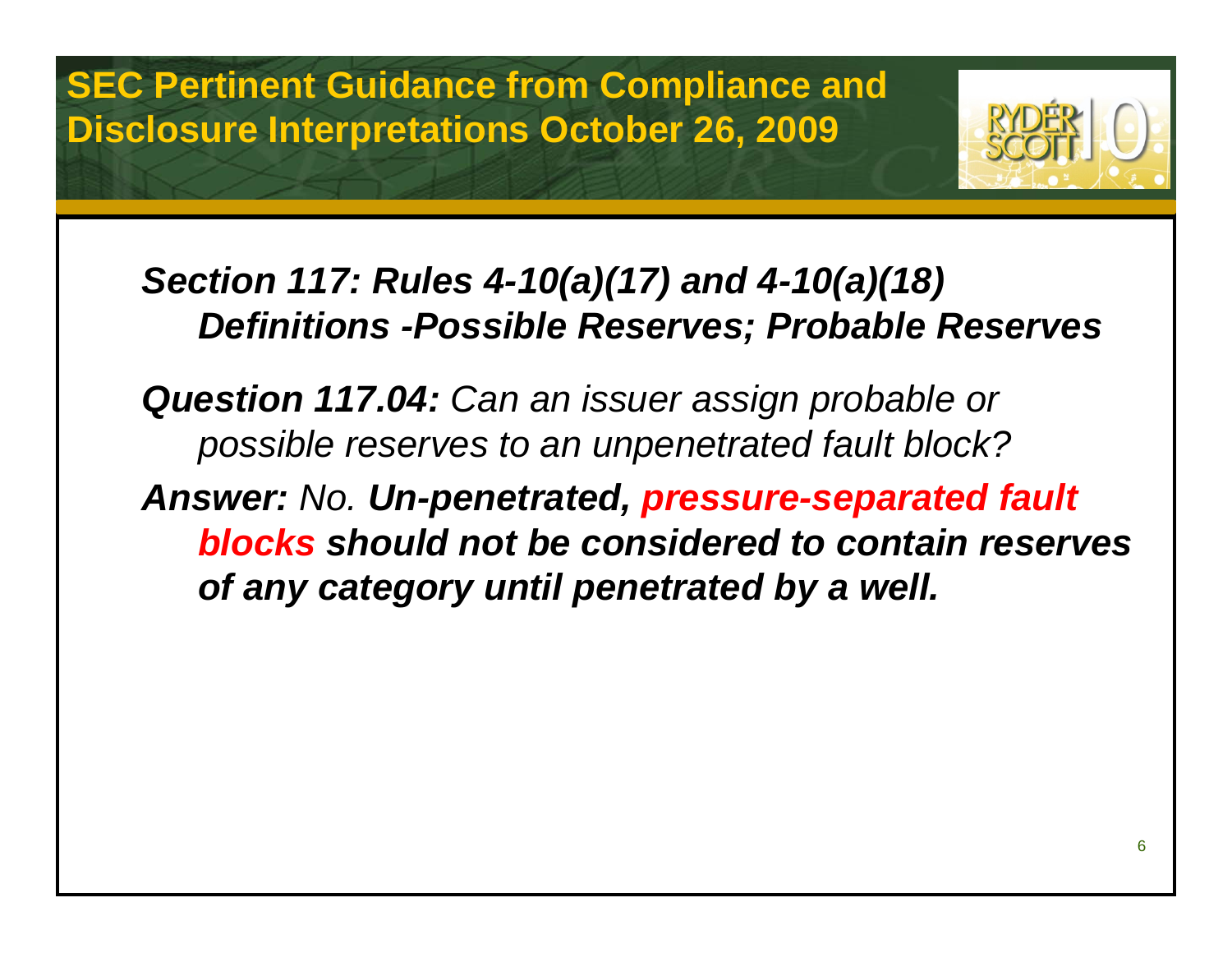**SEC Pertinent Guidance from Compliance and Disclosure Interpretations October 26, 2009**



### *Section 117: Rules 4-10(a)(17) and 4-10(a)(18) Definitions -Possible Reserves; Probable Reserves*

*Question 117.04: Can an issuer assign probable or possible reserves to an unpenetrated fault block? Answer: No. Un-penetrated, pressure-separated fault blocks should not be considered to contain reserves of any category until penetrated by a well.*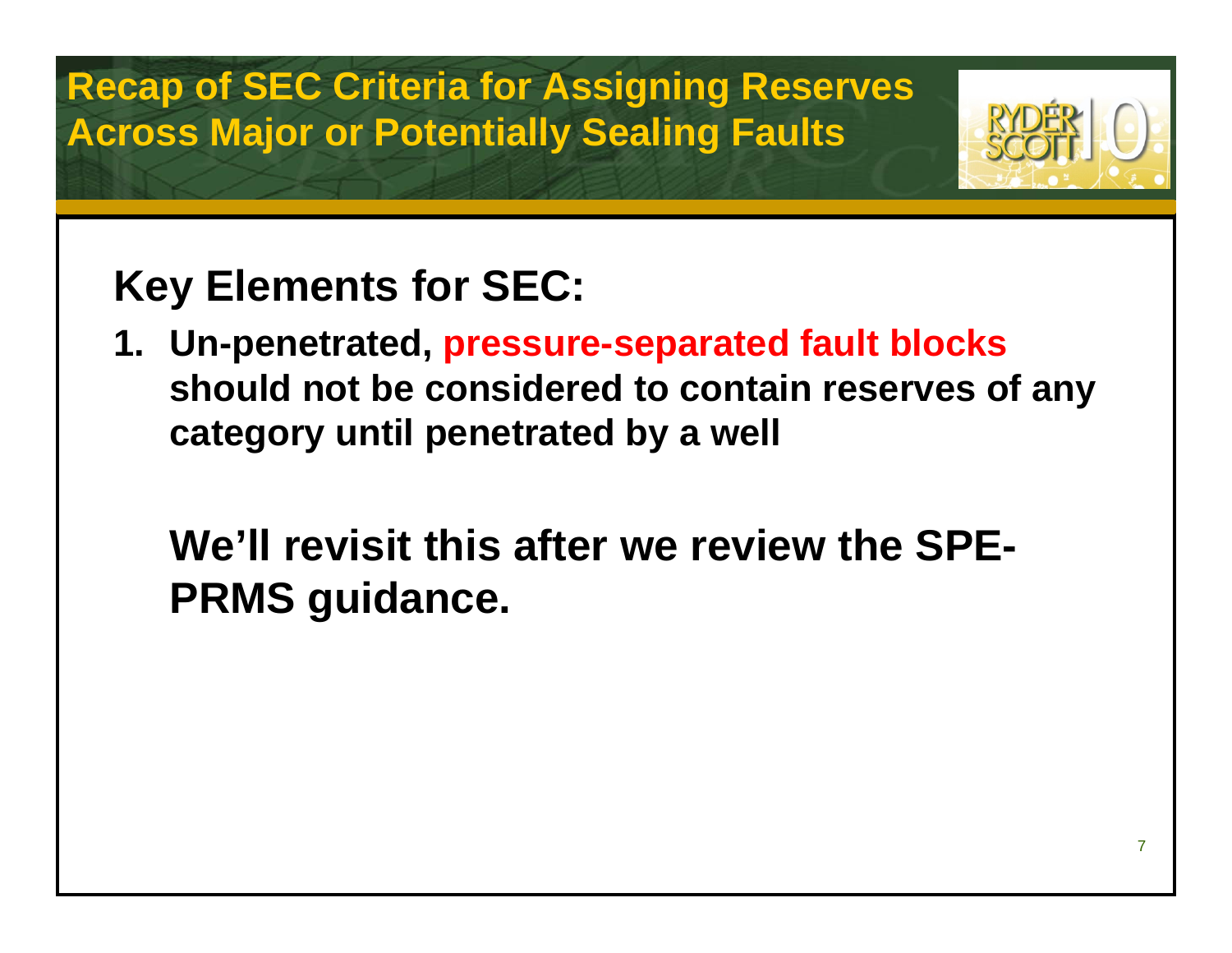**Recap of SEC Criteria for Assigning Reserves Across Major or Potentially Sealing Faults**



## **Key Elements for SEC:**

**1. Un-penetrated, pressure-separated fault blocks should not be considered to contain reserves of any category until penetrated by a well**

**We'll revisit this after we review the SPE-PRMS guidance.**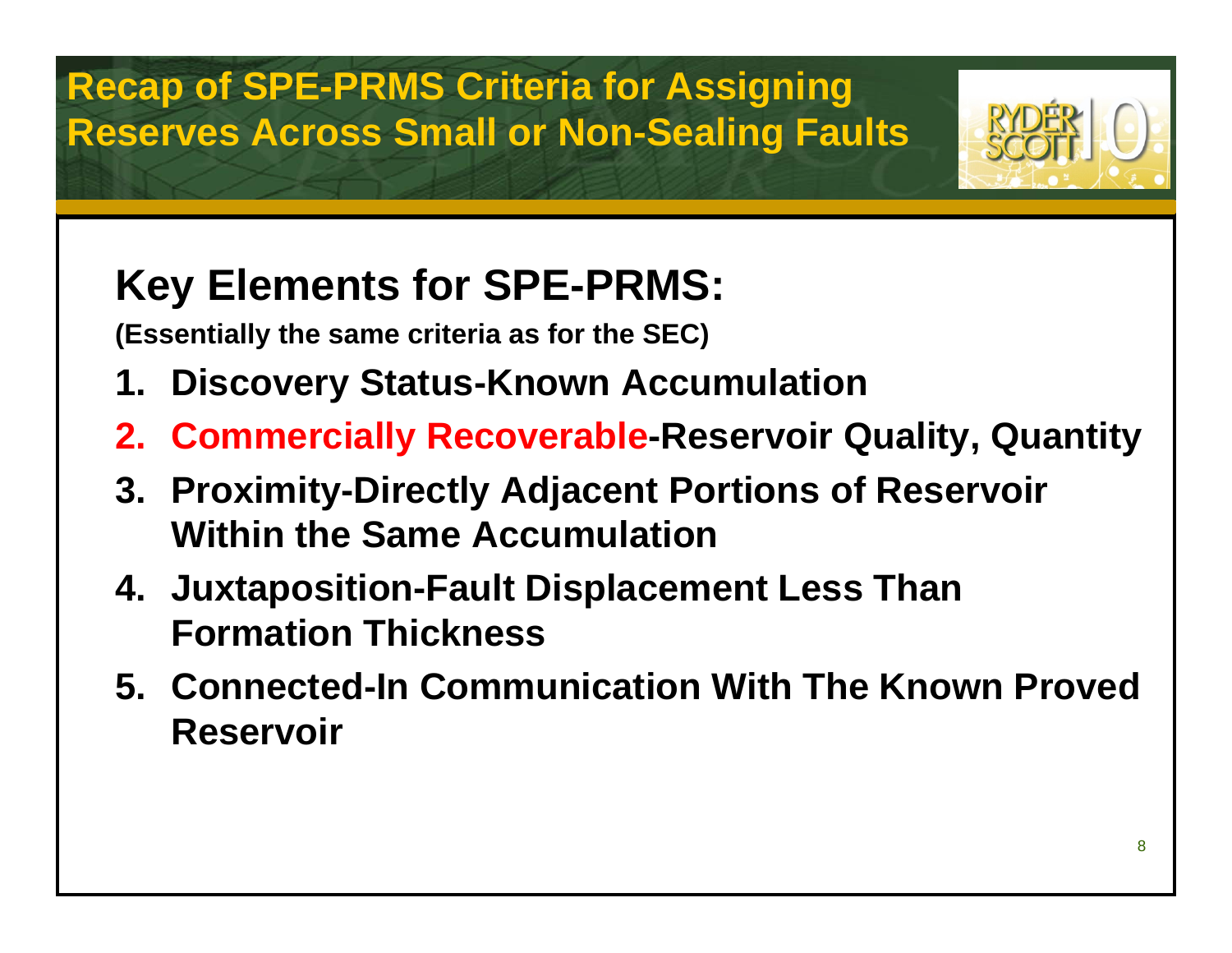**Recap of SPE-PRMS Criteria for Assigning Reserves Across Small or Non-Sealing Faults**



## **Key Elements for SPE-PRMS:**

**(Essentially the same criteria as for the SEC)**

- **1. Discovery Status-Known Accumulation**
- **2. Commercially Recoverable-Reservoir Quality, Quantity**
- **3. Proximity-Directly Adjacent Portions of Reservoir Within the Same Accumulation**
- **4. Juxtaposition-Fault Displacement Less Than Formation Thickness**
- **5. Connected-In Communication With The Known Proved Reservoir**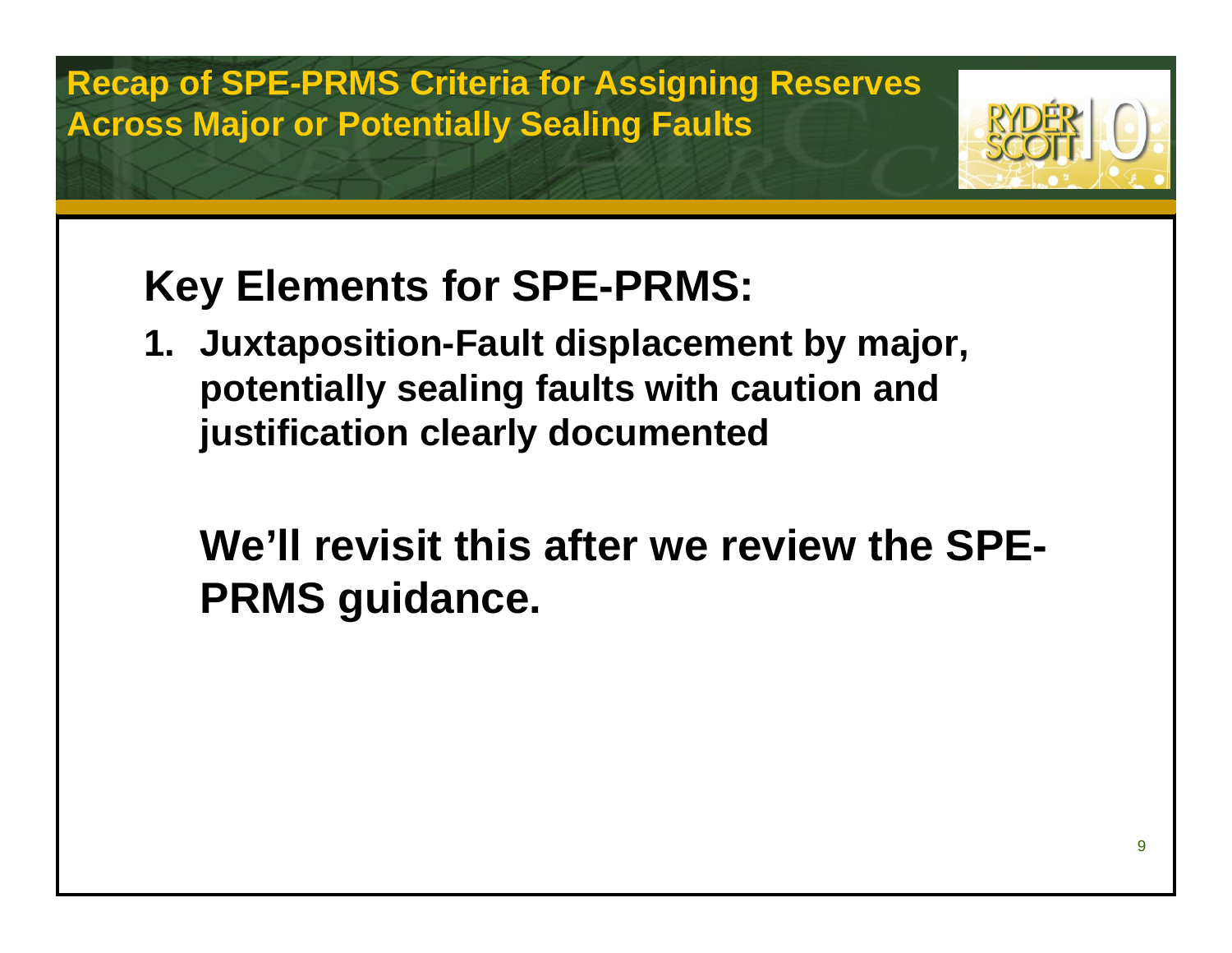**Recap of SPE-PRMS Criteria for Assigning Reserves Across Major or Potentially Sealing Faults**

## **Key Elements for SPE-PRMS:**

**1. Juxtaposition-Fault displacement by major, potentially sealing faults with caution and justification clearly documented**

**We'll revisit this after we review the SPE-PRMS guidance.**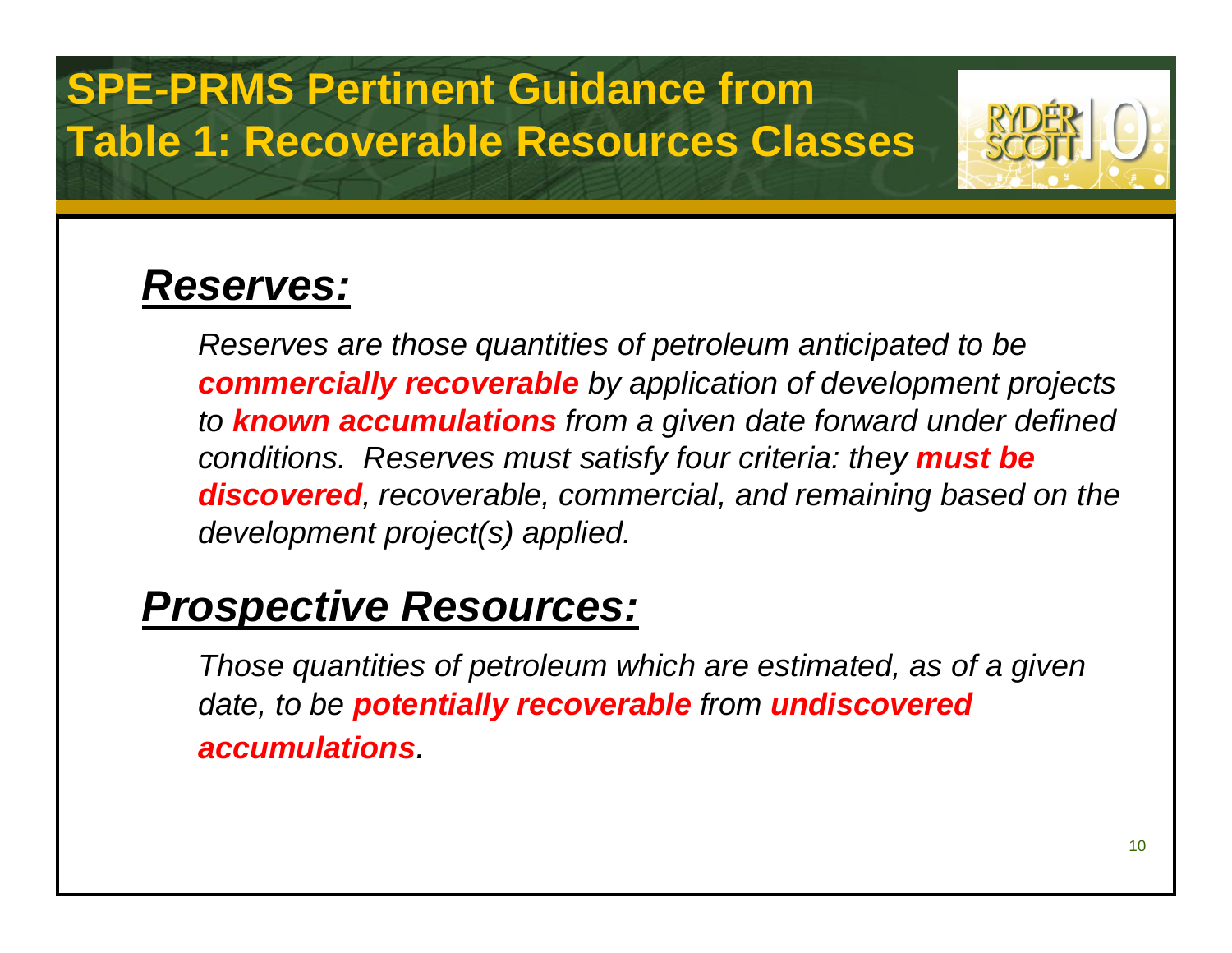## **SPE-PRMS Pertinent Guidance from Table 1: Recoverable Resources Classes**



### *Reserves:*

*Reserves are those quantities of petroleum anticipated to be commercially recoverable by application of development projects to known accumulations from a given date forward under defined conditions. Reserves must satisfy four criteria: they must be discovered, recoverable, commercial, and remaining based on the development project(s) applied.*

### *Prospective Resources:*

*Those quantities of petroleum which are estimated, as of a given date, to be potentially recoverable from undiscovered accumulations.*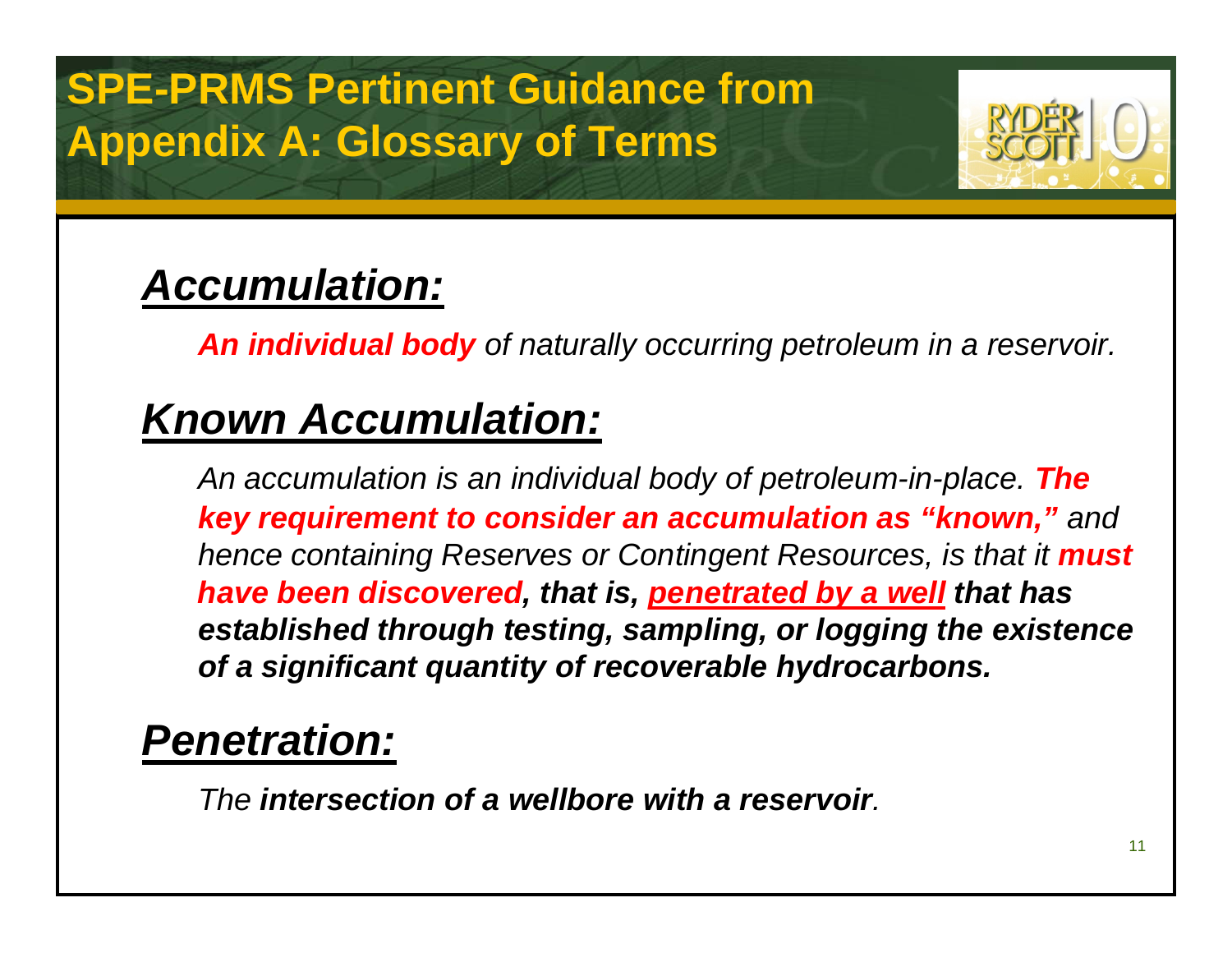## **SPE-PRMS Pertinent Guidance fromAppendix A: Glossary of Terms**



## *Accumulation:*

*An individual body of naturally occurring petroleum in a reservoir.*

## *Known Accumulation:*

*An accumulation is an individual body of petroleum-in-place. The key requirement to consider an accumulation as "known," and hence containing Reserves or Contingent Resources, is that it must have been discovered, that is, penetrated by a well that has established through testing, sampling, or logging the existence of a significant quantity of recoverable hydrocarbons.*

### *Penetration:*

*The intersection of a wellbore with a reservoir.*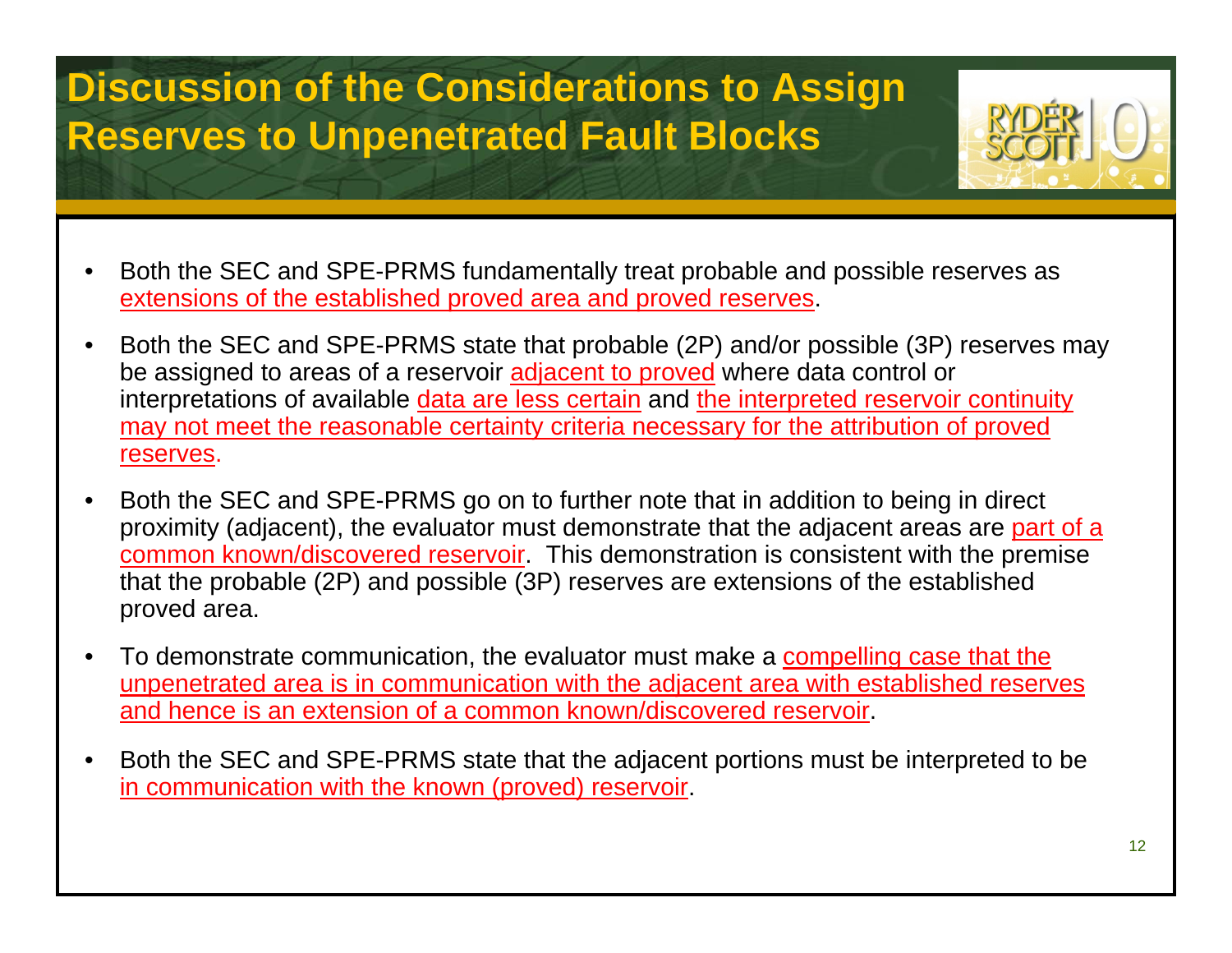### **Discussion of the Considerations to Assign Reserves to Unpenetrated Fault Blocks**



- • Both the SEC and SPE-PRMS fundamentally treat probable and possible reserves as extensions of the established proved area and proved reserves.
- • Both the SEC and SPE-PRMS state that probable (2P) and/or possible (3P) reserves may be assigned to areas of a reservoir **adjacent to proved** where data control or interpretations of available data are less certain and the interpreted reservoir continuity may not meet the reasonable certainty criteria necessary for the attribution of proved reserves.
- • Both the SEC and SPE-PRMS go on to further note that in addition to being in direct proximity (adjacent), the evaluator must demonstrate that the adjacent areas are part of a common known/discovered reservoir. This demonstration is consistent with the premise that the probable (2P) and possible (3P) reserves are extensions of the established proved area.
- $\bullet$  To demonstrate communication, the evaluator must make a compelling case that the unpenetrated area is in communication with the adjacent area with established reserves and hence is an extension of a common known/discovered reservoir.
- • Both the SEC and SPE-PRMS state that the adjacent portions must be interpreted to be in communication with the known (proved) reservoir.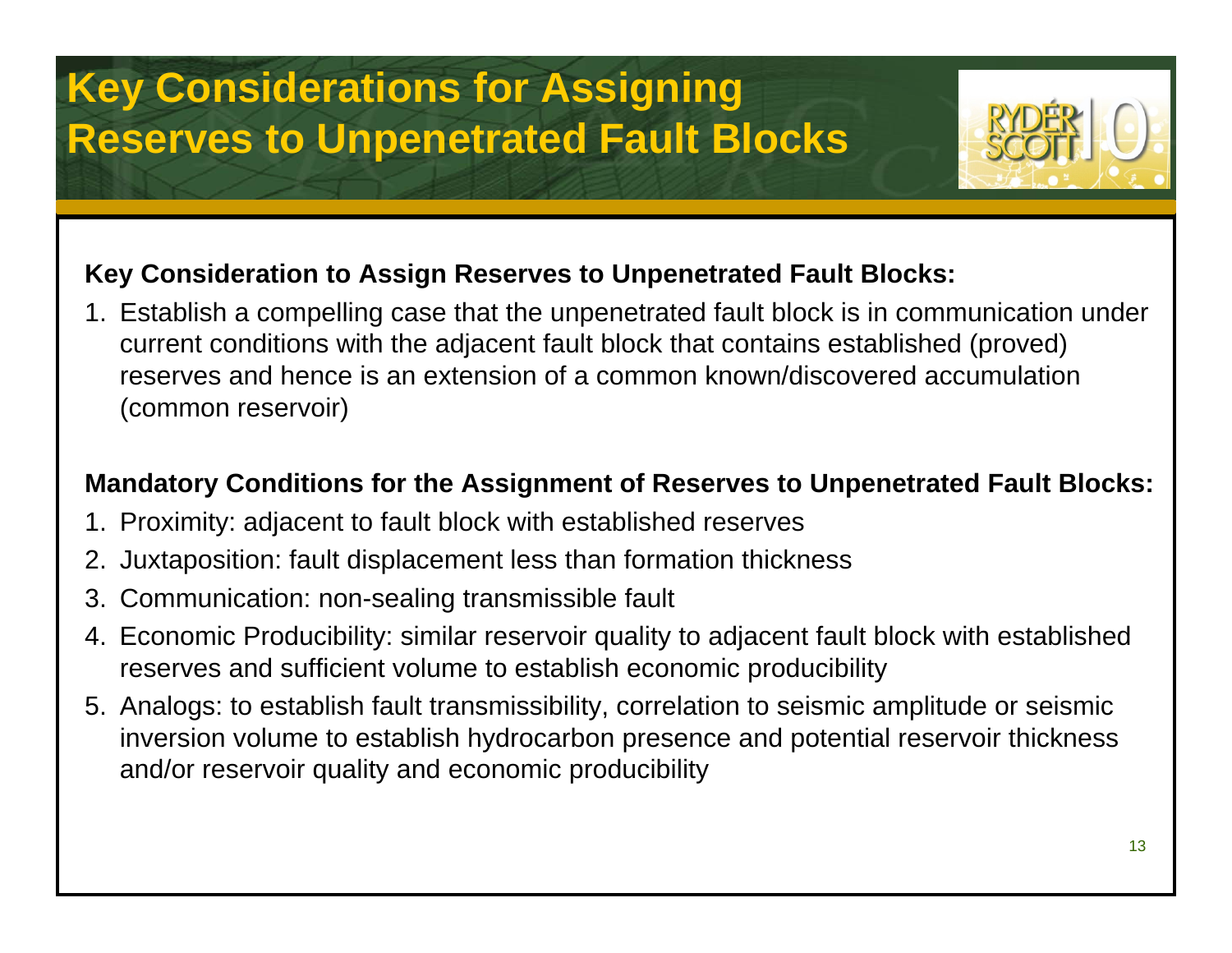

### **Key Consideration to Assign Reserves to Unpenetrated Fault Blocks:**

1. Establish a compelling case that the unpenetrated fault block is in communication under current conditions with the adjacent fault block that contains established (proved) reserves and hence is an extension of a common known/discovered accumulation (common reservoir)

### **Mandatory Conditions for the Assignment of Reserves to Unpenetrated Fault Blocks:**

- 1. Proximity: adjacent to fault block with established reserves
- 2. Juxtaposition: fault displacement less than formation thickness
- 3. Communication: non-sealing transmissible fault
- 4. Economic Producibility: similar reservoir quality to adjacent fault block with established reserves and sufficient volume to establish economic producibility
- 5. Analogs: to establish fault transmissibility, correlation to seismic amplitude or seismic inversion volume to establish hydrocarbon presence and potential reservoir thickness and/or reservoir quality and economic producibility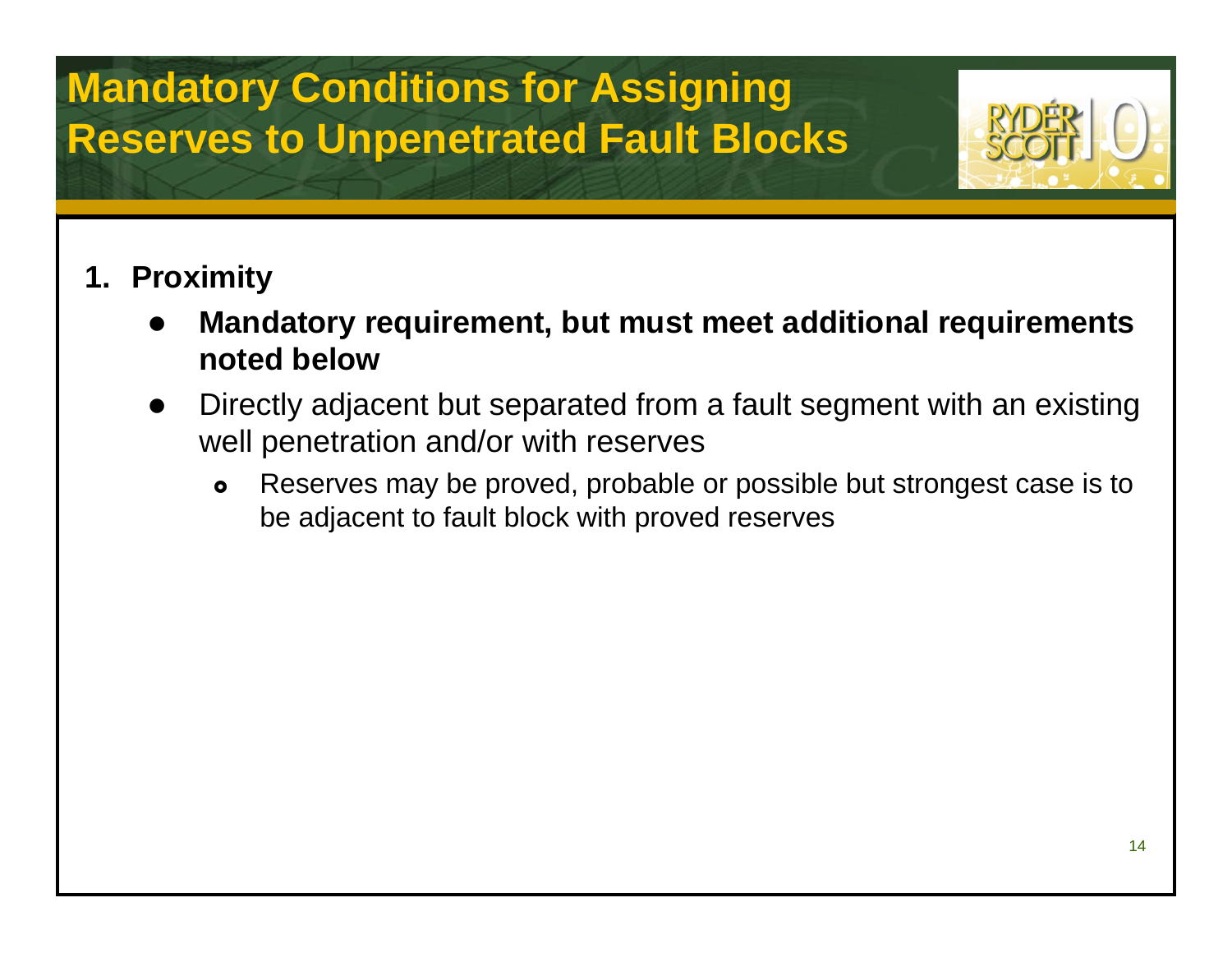

### **1. Proximity**

- $\bullet$  **Mandatory requirement, but must meet additional requirements noted below**
- $\bullet$  Directly adjacent but separated from a fault segment with an existing well penetration and/or with reserves
	- $\bullet$  Reserves may be proved, probable or possible but strongest case is to be adjacent to fault block with proved reserves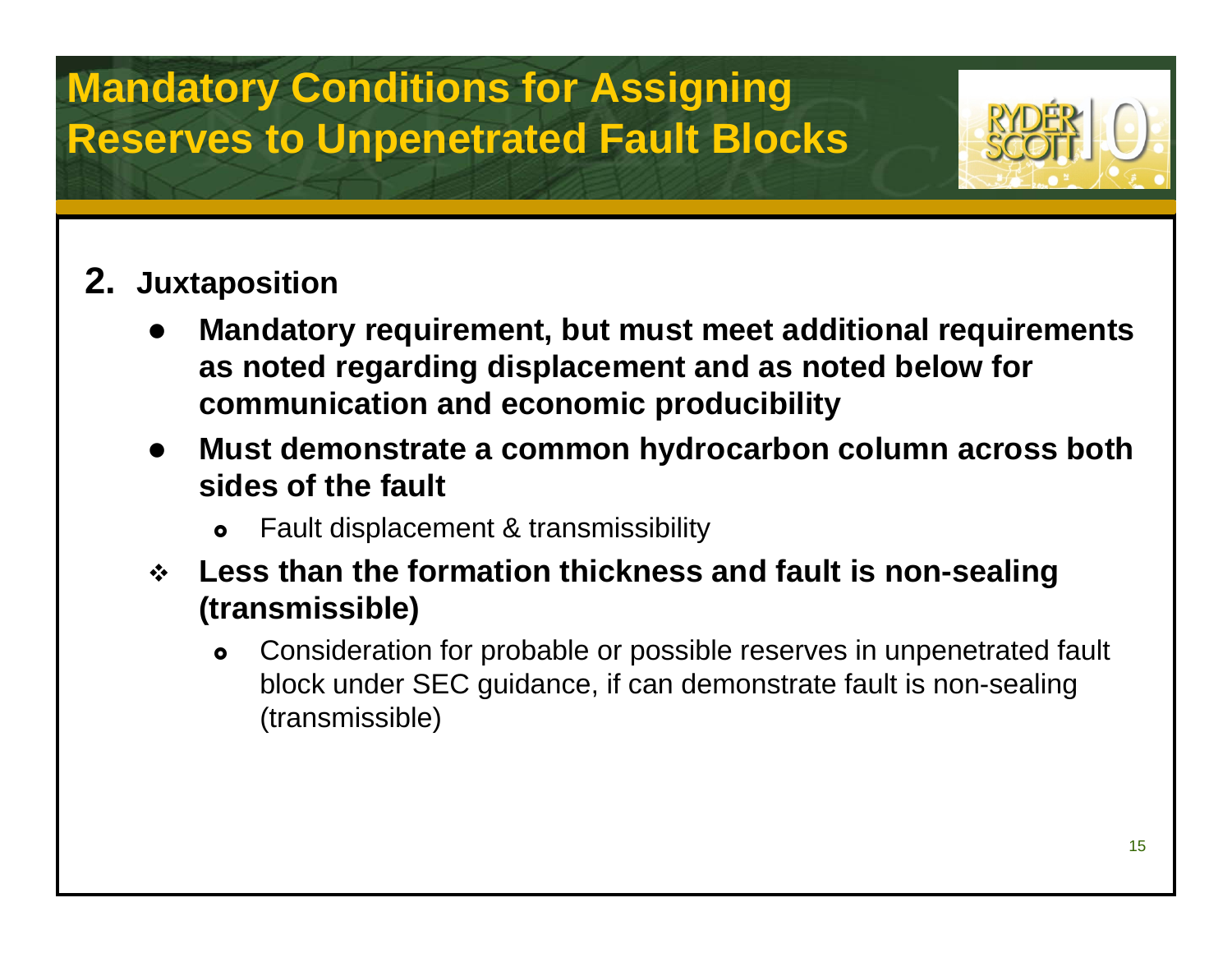

### **2. Juxtaposition**

- $\bullet$  **Mandatory requirement, but must meet additional requirements as noted regarding displacement and as noted below for communication and economic producibility**
- $\bullet$  **Must demonstrate a common hydrocarbon column across both sides of the fault**
	- $\bullet$ Fault displacement & transmissibility
- **Less than the formation thickness and fault is non-sealing (transmissible)**
	- $\bullet$  Consideration for probable or possible reserves in unpenetrated fault block under SEC guidance, if can demonstrate fault is non-sealing (transmissible)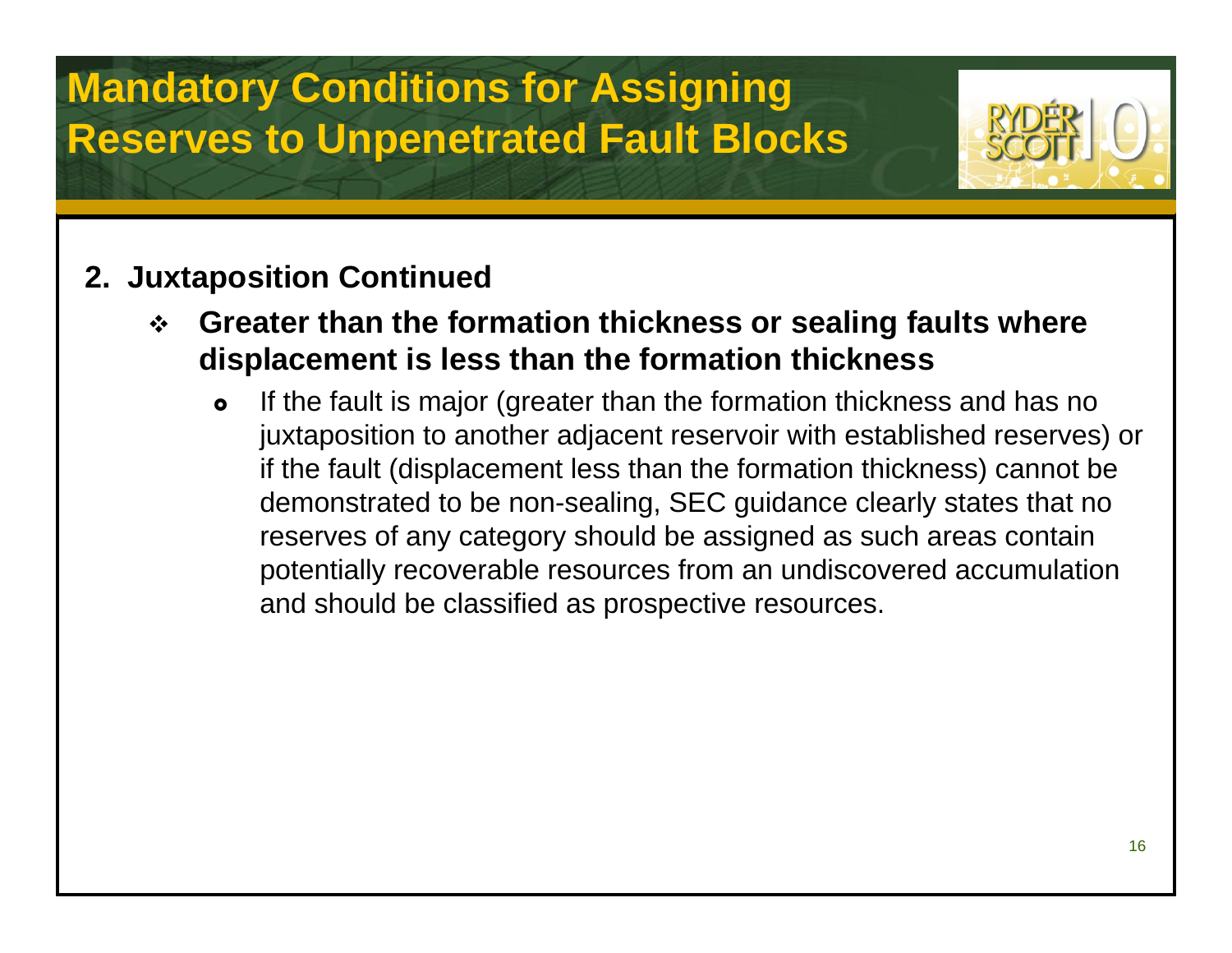

### **2. Juxtaposition Continued**

- $\frac{1}{2}$  **Greater than the formation thickness or sealing faults where displacement is less than the formation thickness**
	- $\bullet$  If the fault is major (greater than the formation thickness and has no juxtaposition to another adjacent reservoir with established reserves) or if the fault (displacement less than the formation thickness) cannot be demonstrated to be non-sealing, SEC guidance clearly states that no reserves of any category should be assigned as such areas contain potentially recoverable resources from an undiscovered accumulation and should be classified as prospective resources.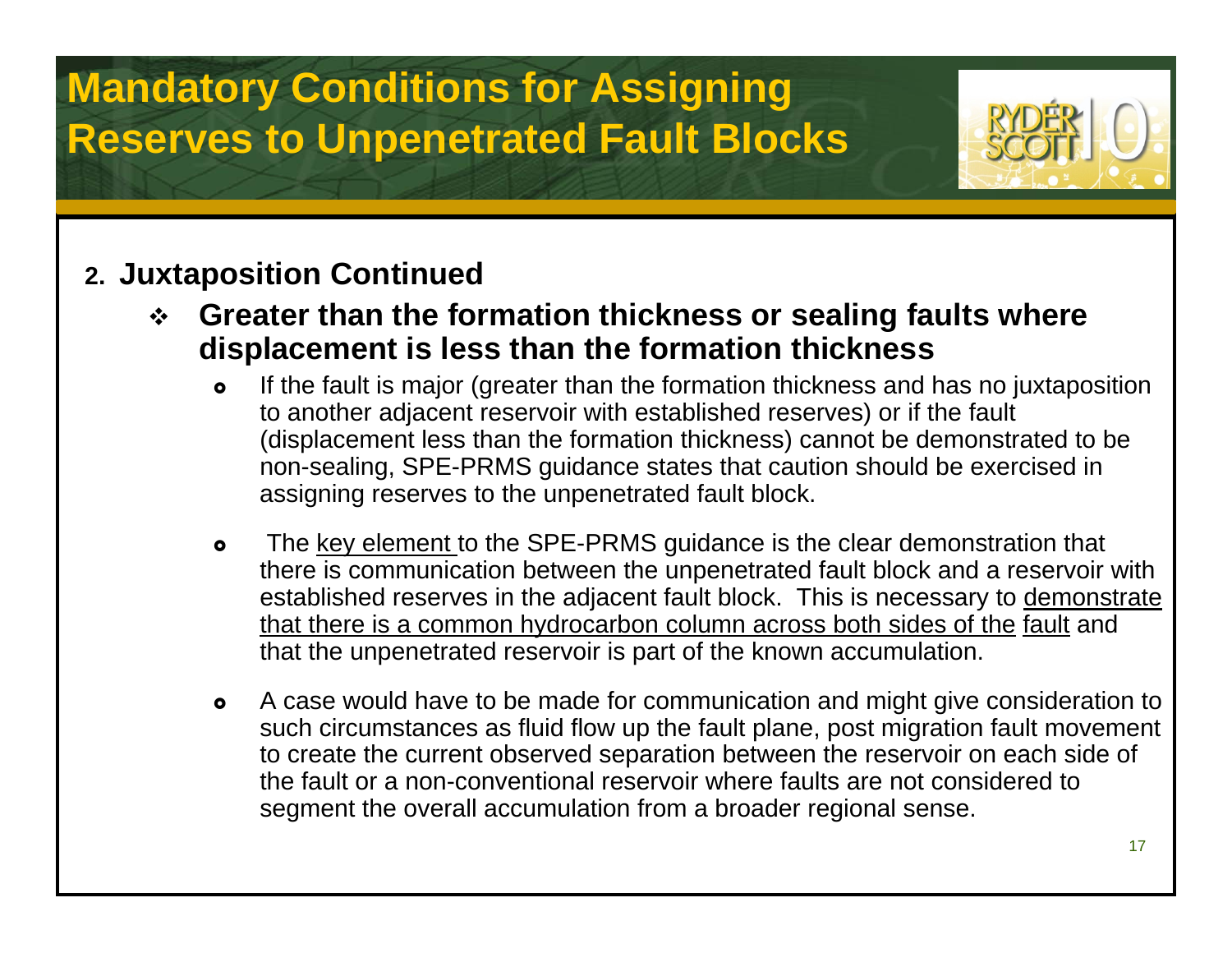

### **2. Juxtaposition Continued**

- $\frac{1}{2}$  **Greater than the formation thickness or sealing faults where displacement is less than the formation thickness**
	- $\bullet$  If the fault is major (greater than the formation thickness and has no juxtaposition to another adjacent reservoir with established reserves) or if the fault (displacement less than the formation thickness) cannot be demonstrated to be non-sealing, SPE-PRMS guidance states that caution should be exercised in assigning reserves to the unpenetrated fault block.
	- $\bullet$  The key element to the SPE-PRMS guidance is the clear demonstration that there is communication between the unpenetrated fault block and a reservoir with established reserves in the adjacent fault block. This is necessary to demonstrate that there is a common hydrocarbon column across both sides of the fault and that the unpenetrated reservoir is part of the known accumulation.
	- $\bullet$  A case would have to be made for communication and might give consideration to such circumstances as fluid flow up the fault plane, post migration fault movement to create the current observed separation between the reservoir on each side of the fault or a non-conventional reservoir where faults are not considered to segment the overall accumulation from a broader regional sense.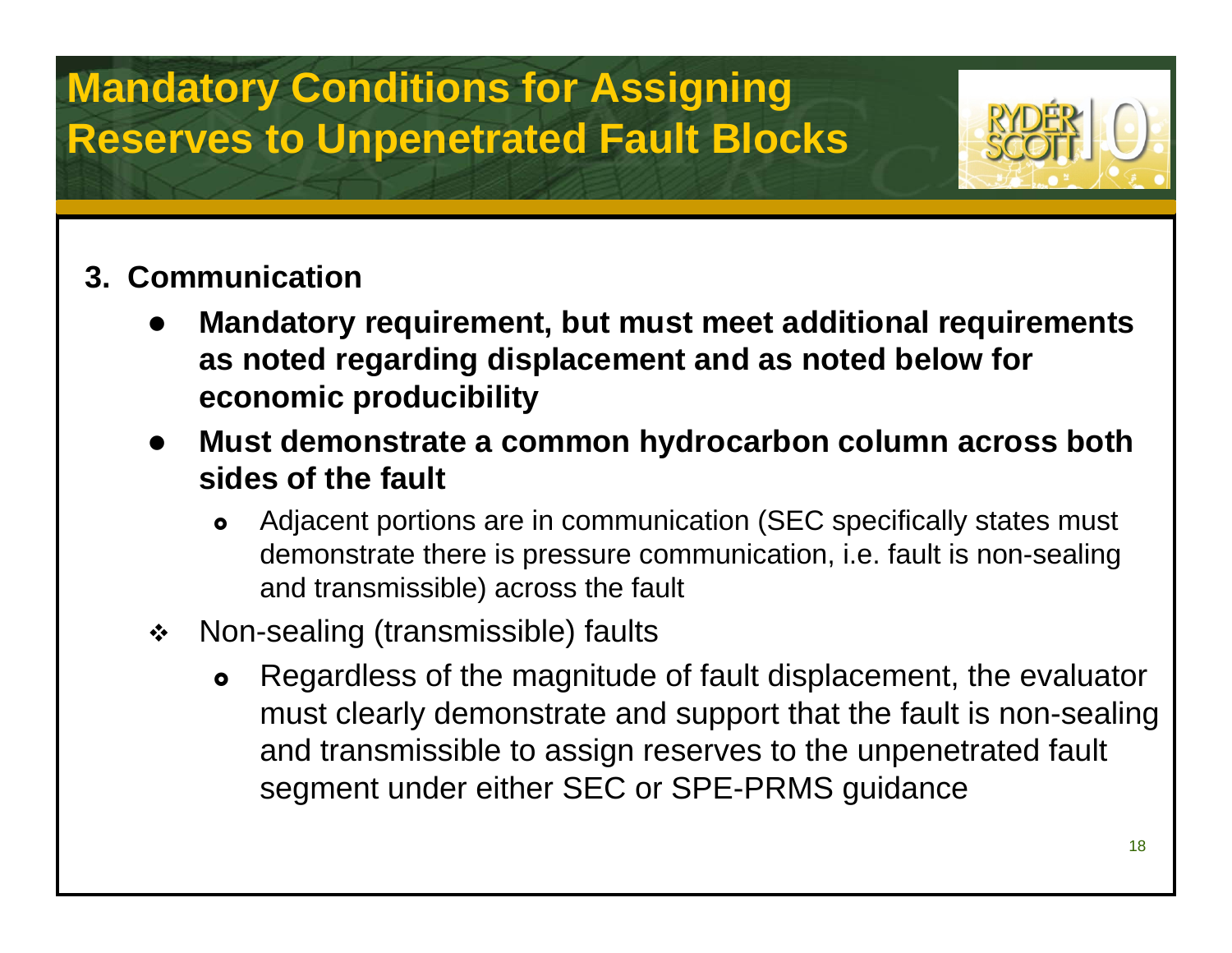

### **3. Communication**

- $\bullet$  **Mandatory requirement, but must meet additional requirements as noted regarding displacement and as noted below for economic producibility**
- $\bullet$  **Must demonstrate a common hydrocarbon column across both sides of the fault**
	- $\bullet$  Adjacent portions are in communication (SEC specifically states must demonstrate there is pressure communication, i.e. fault is non-sealing and transmissible) across the fault
- $\bullet^{\bullet}_{\bullet} \bullet$  Non-sealing (transmissible) faults
	- $\bullet$  Regardless of the magnitude of fault displacement, the evaluator must clearly demonstrate and support that the fault is non-sealing and transmissible to assign reserves to the unpenetrated fault segment under either SEC or SPE-PRMS guidance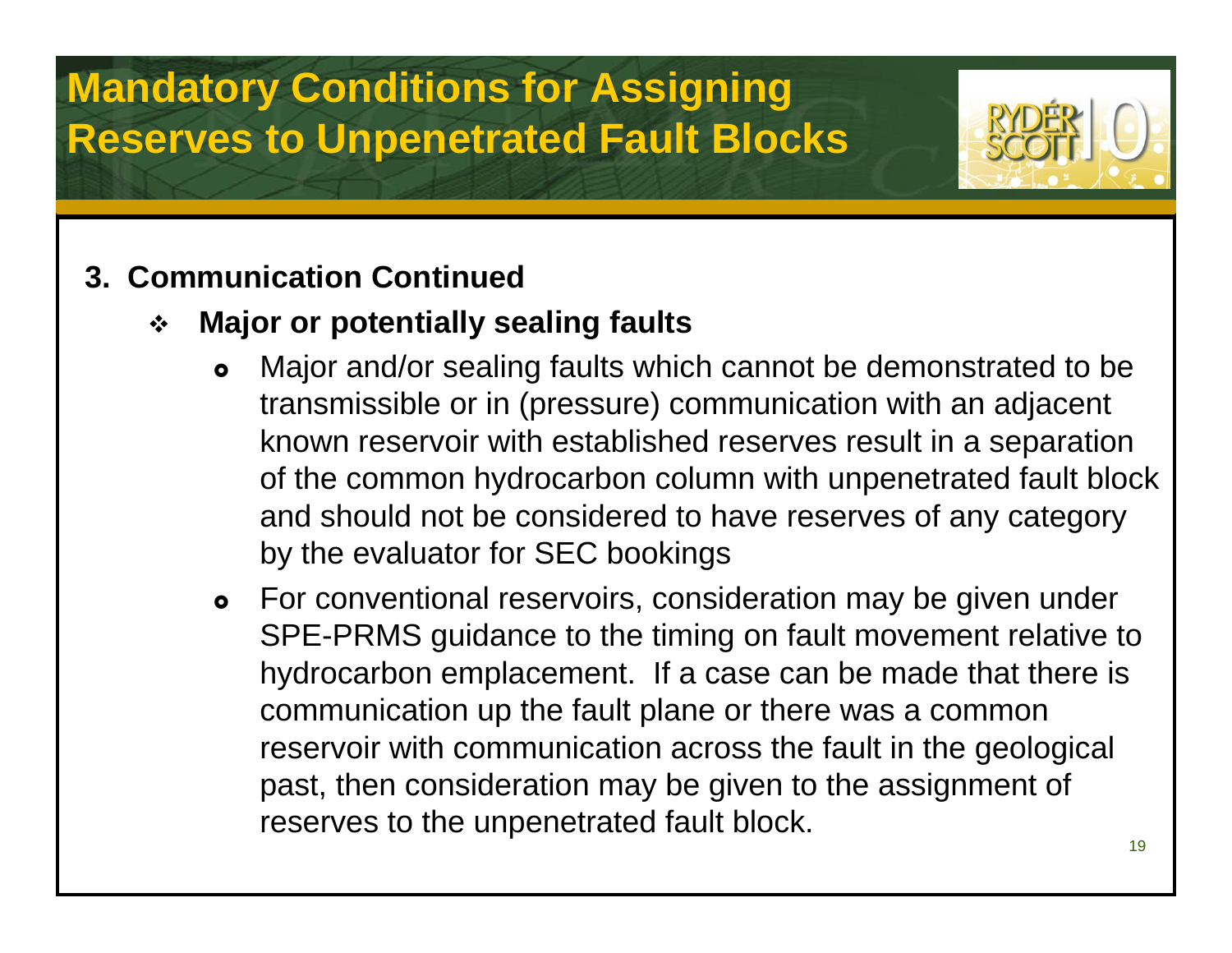### **3. Communication Continued**

- $\bullet^{\bullet}_{\bullet} \bullet$  **Major or potentially sealing faults**
	- $\bullet$  Major and/or sealing faults which cannot be demonstrated to be transmissible or in (pressure) communication with an adjacent known reservoir with established reserves result in a separation of the common hydrocarbon column with unpenetrated fault block and should not be considered to have reserves of any category by the evaluator for SEC bookings
	- **•** For conventional reservoirs, consideration may be given under SPE-PRMS guidance to the timing on fault movement relative to hydrocarbon emplacement. If a case can be made that there is communication up the fault plane or there was a common reservoir with communication across the fault in the geological past, then consideration may be given to the assignment of reserves to the unpenetrated fault block.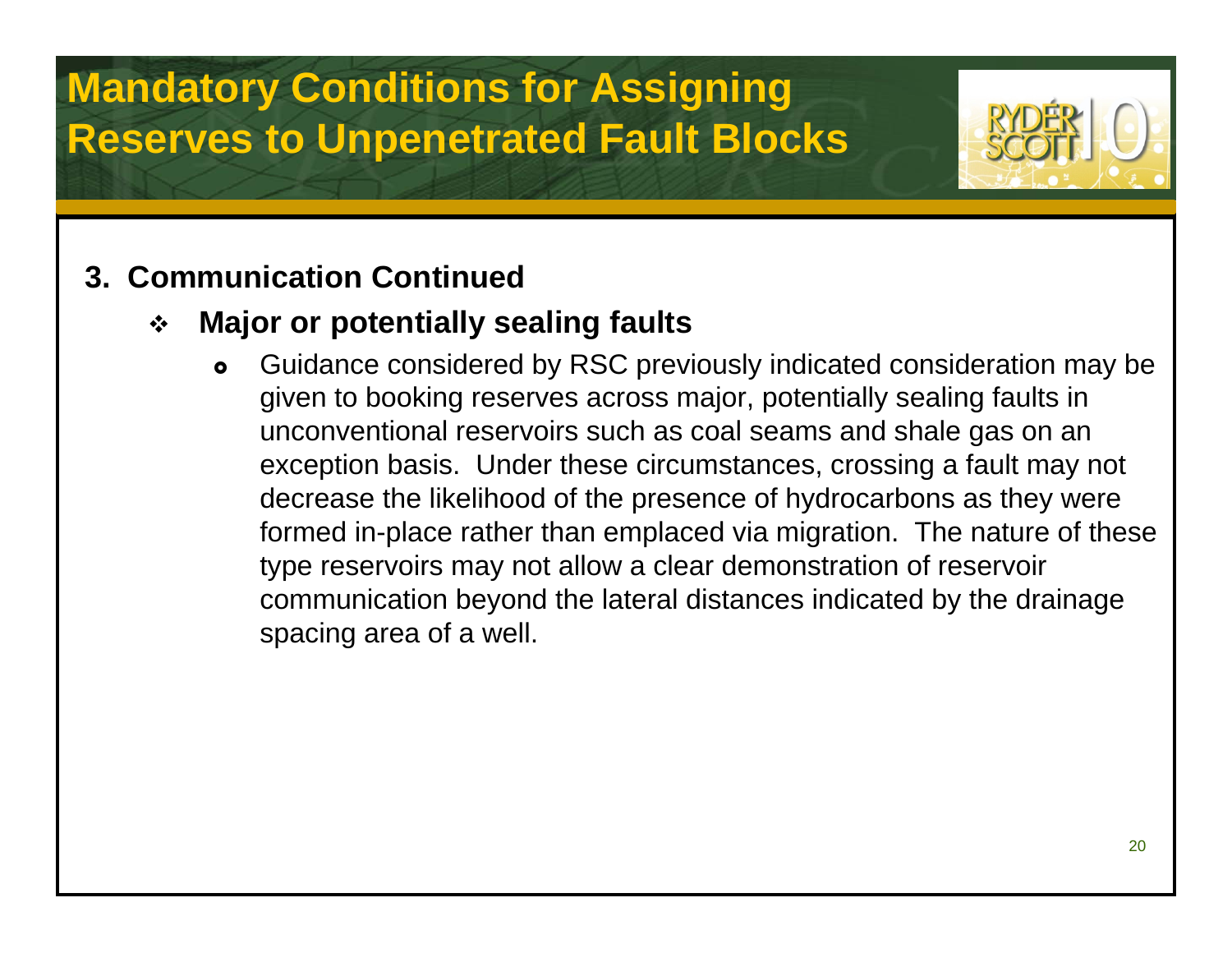### **3. Communication Continued**

### $\frac{1}{2}$ **Major or potentially sealing faults**

 $\bullet$  Guidance considered by RSC previously indicated consideration may be given to booking reserves across major, potentially sealing faults in unconventional reservoirs such as coal seams and shale gas on an exception basis. Under these circumstances, crossing a fault may not decrease the likelihood of the presence of hydrocarbons as they were formed in-place rather than emplaced via migration. The nature of these type reservoirs may not allow a clear demonstration of reservoir communication beyond the lateral distances indicated by the drainage spacing area of a well.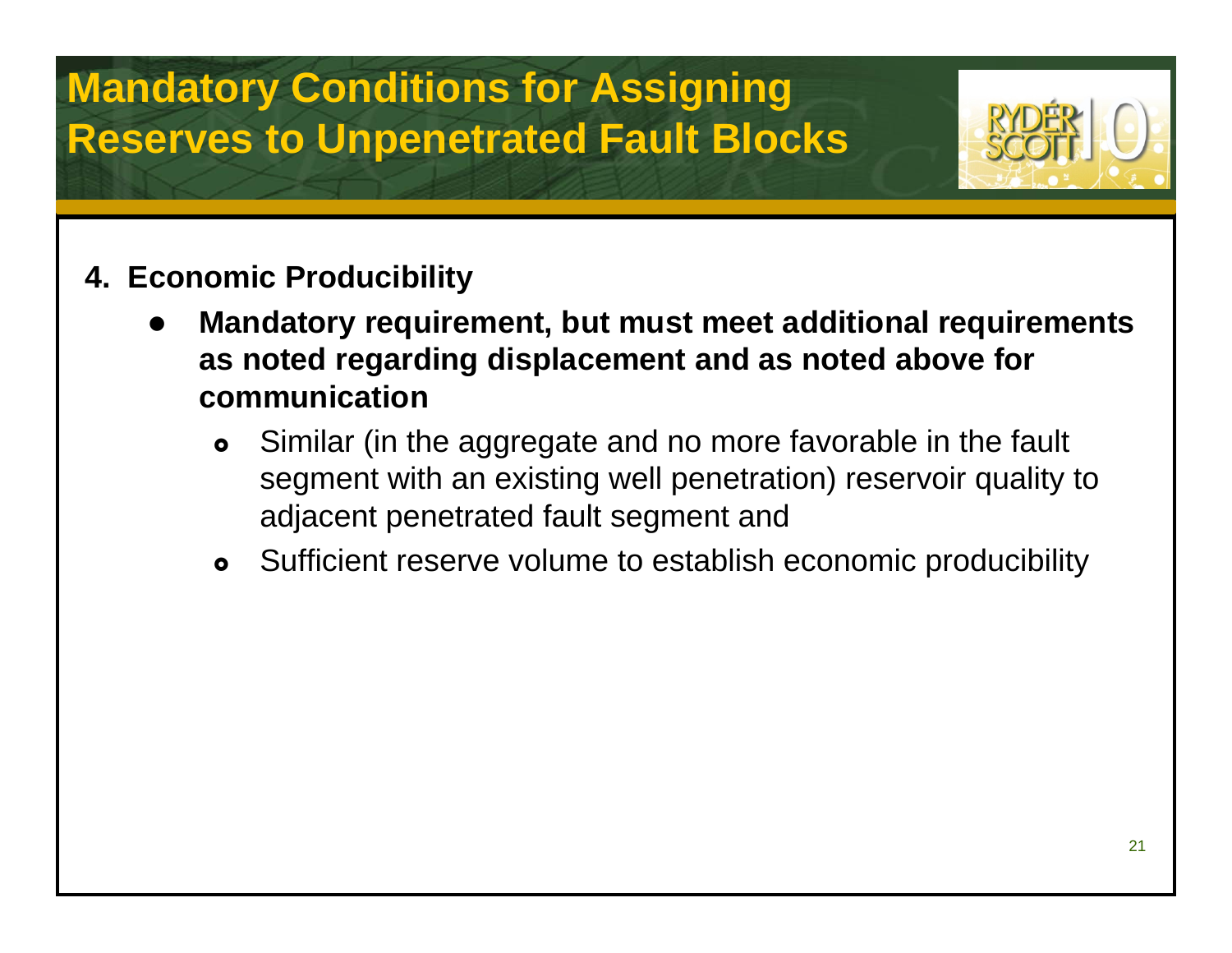

- **4. Economic Producibility**
	- $\bullet$  **Mandatory requirement, but must meet additional requirements as noted regarding displacement and as noted above for communication**
		- $\bullet$  Similar (in the aggregate and no more favorable in the fault segment with an existing well penetration) reservoir quality to adjacent penetrated fault segment and
		- $\bullet$ Sufficient reserve volume to establish economic producibility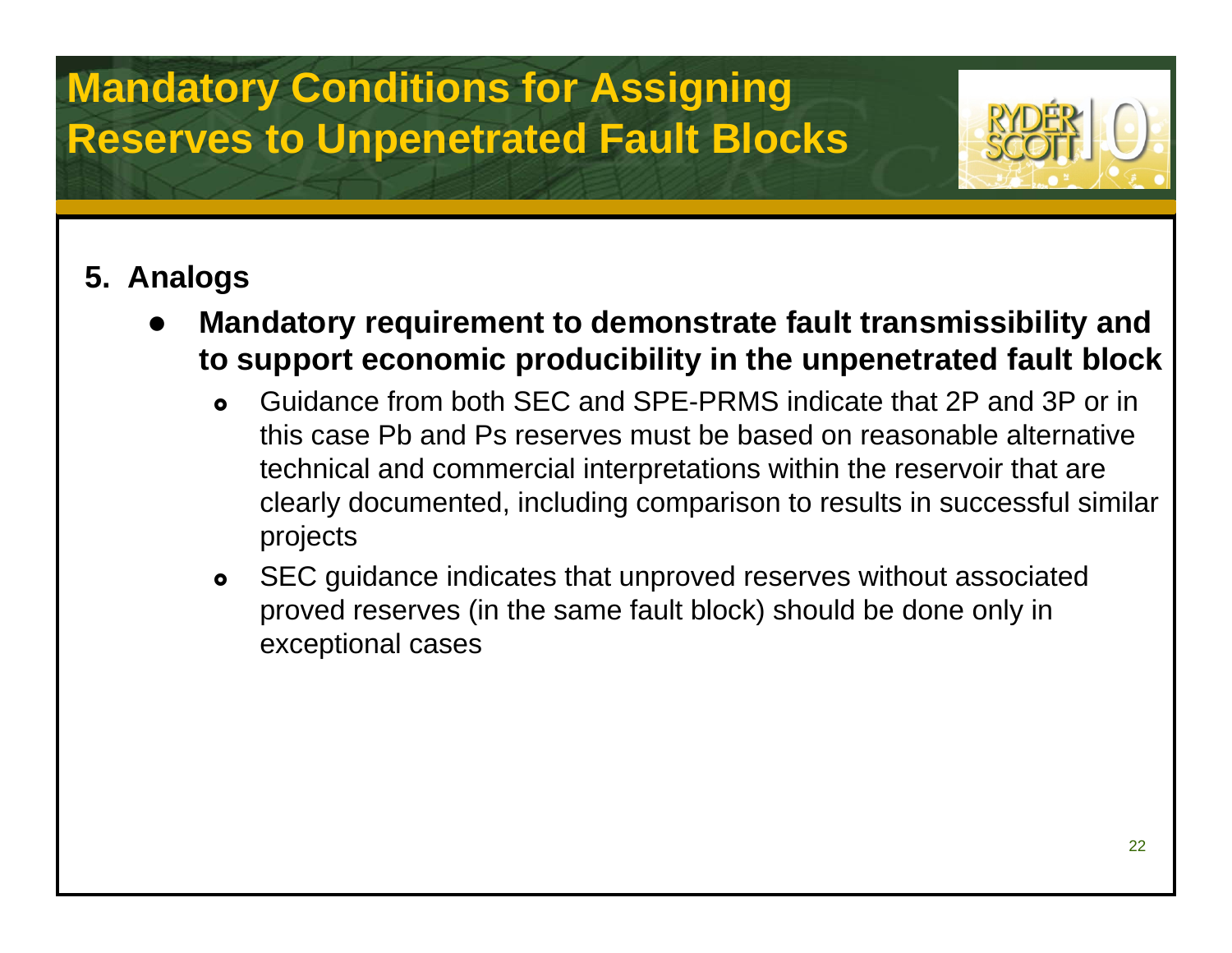

### **5. Analogs**

- $\bullet$  **Mandatory requirement to demonstrate fault transmissibility and to support economic producibility in the unpenetrated fault block**
	- $\bullet$  Guidance from both SEC and SPE-PRMS indicate that 2P and 3P or in this case Pb and Ps reserves must be based on reasonable alternative technical and commercial interpretations within the reservoir that are clearly documented, including comparison to results in successful similar projects
	- $\bullet$  SEC guidance indicates that unproved reserves without associated proved reserves (in the same fault block) should be done only in exceptional cases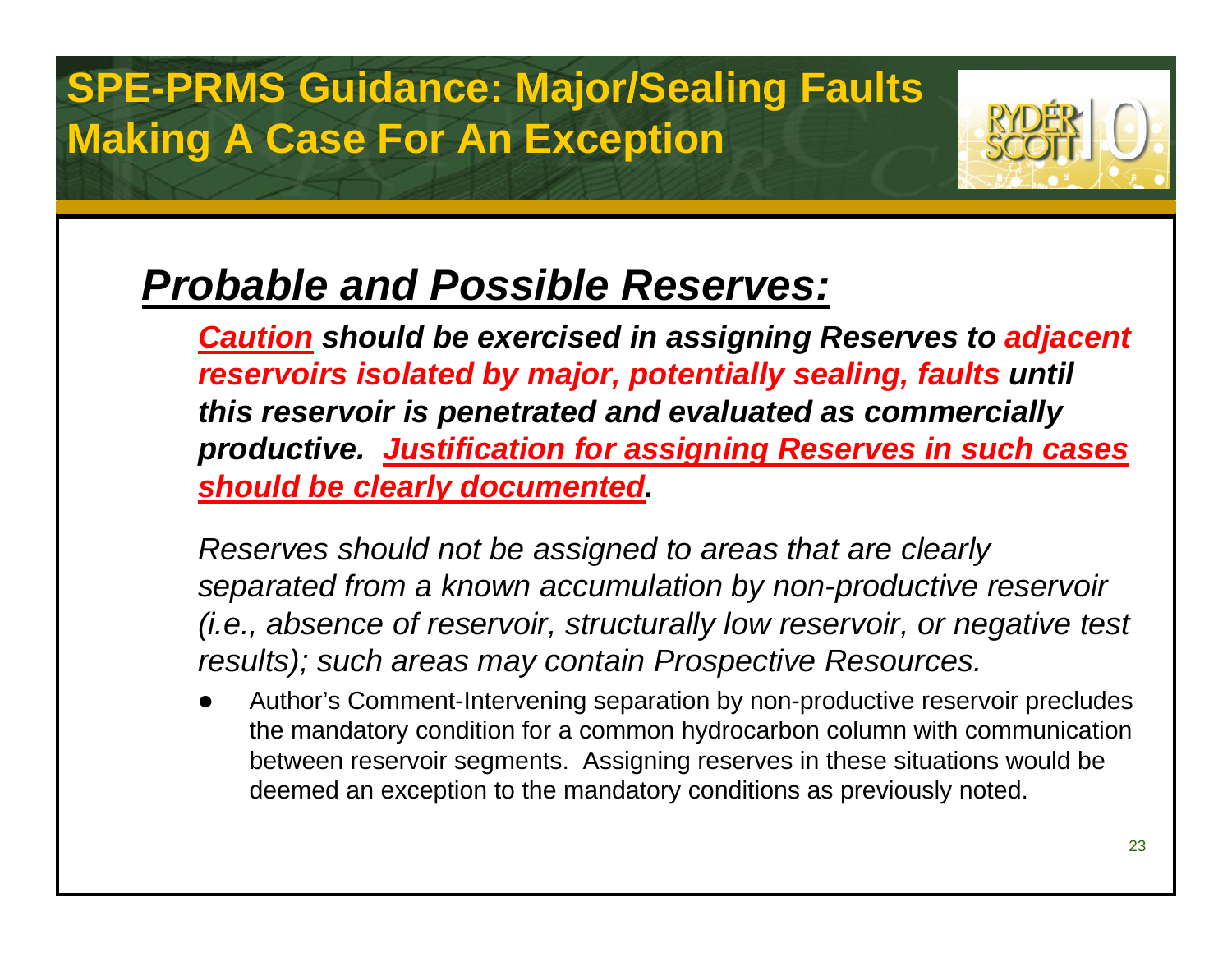## **SPE-PRMS Guidance: Major/Sealing Faults Making A Case For An Exception**



## *Probable and Possible Reserves:*

*Caution should be exercised in assigning Reserves to adjacent reservoirs isolated by major, potentially sealing, faults until this reservoir is penetrated and evaluated as commercially productive. Justification for assigning Reserves in such cases should be clearly documented.*

*Reserves should not be assigned to areas that are clearly separated from a known accumulation by non-productive reservoir (i.e., absence of reservoir, structurally low reservoir, or negative test results); such areas may contain Prospective Resources.*

 $\bullet$  Author's Comment-Intervening separation by non-productive reservoir precludes the mandatory condition for a common hydrocarbon column with communication between reservoir segments. Assigning reserves in these situations would be deemed an exception to the mandatory conditions as previously noted.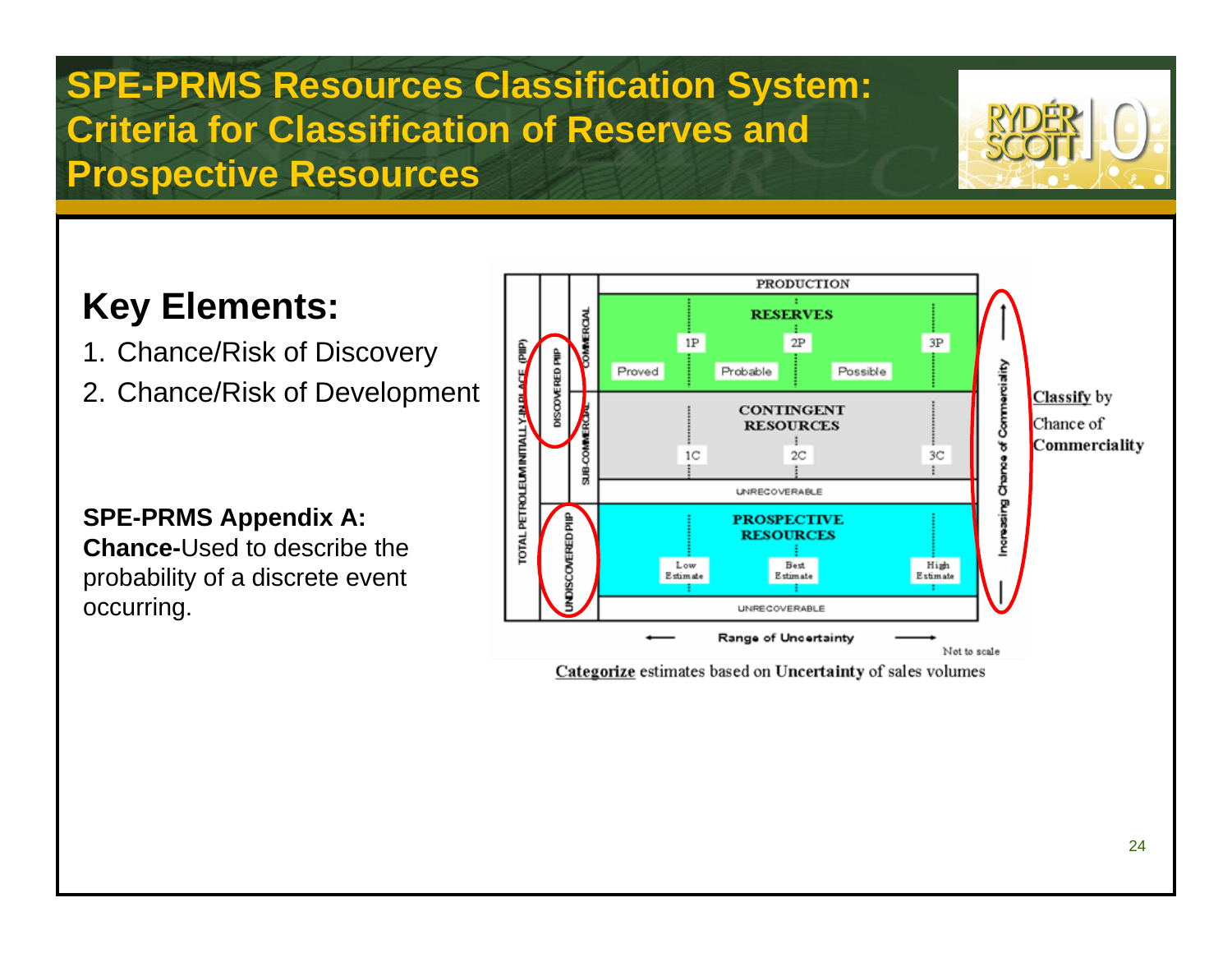### **Key Elements:**

- 1. Chance/Risk of Discovery
- 2. Chance/Risk of Development

### **SPE-PRMS Appendix A:**

**Chance-**Used to describe theprobability of a discrete event occurring.



Categorize estimates based on Uncertainty of sales volumes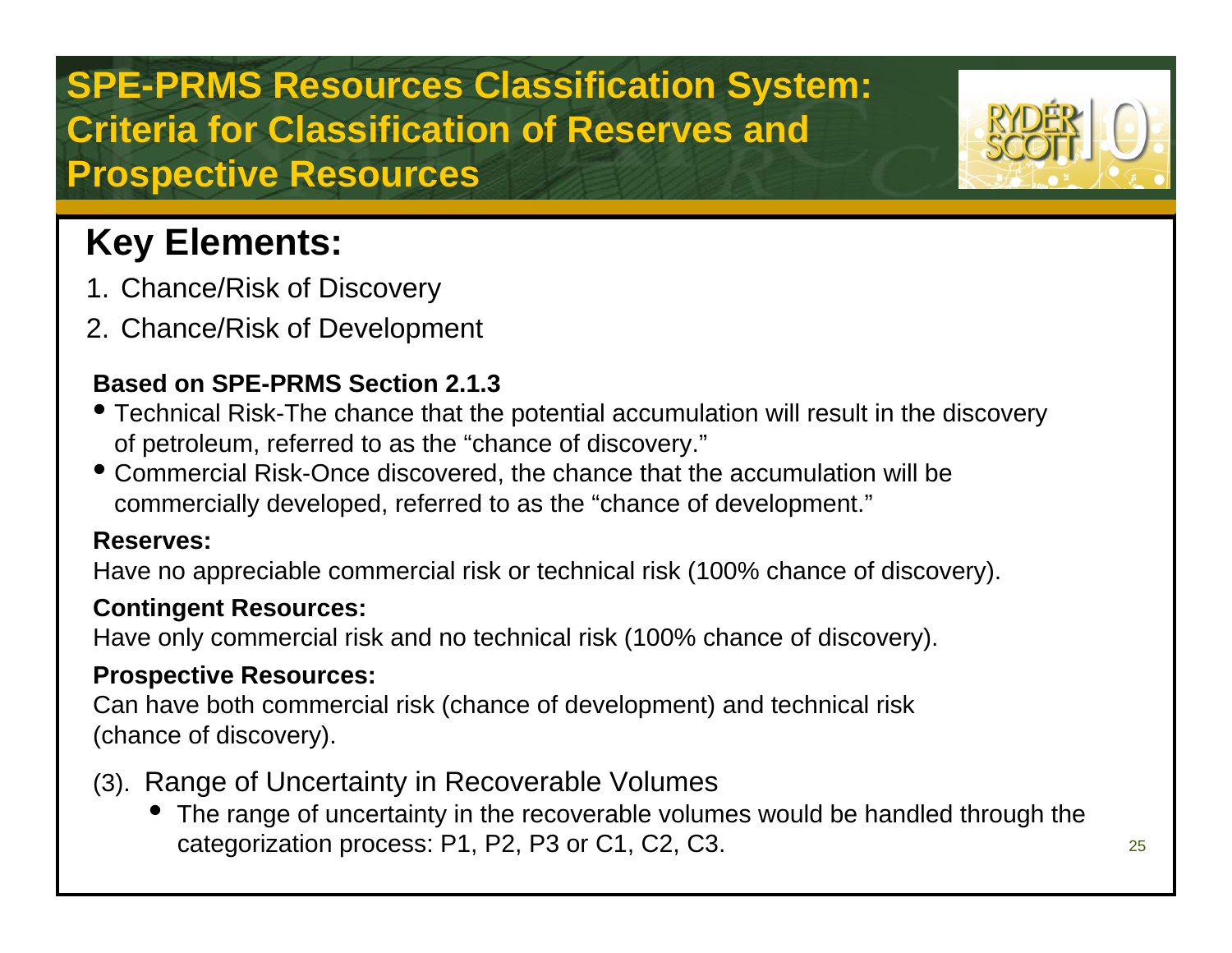### **Key Elements:**

- 1. Chance/Risk of Discovery
- 2. Chance/Risk of Development

### **Based on SPE-PRMS Section 2.1.3**

- Technical Risk-The chance that the potential accumulation will result in the discovery of petroleum, referred to as the "chance of discovery."
- Commercial Risk-Once discovered, the chance that the accumulation will be commercially developed, referred to as the "chance of development."

### **Reserves:**

Have no appreciable commercial risk or technical risk (100% chance of discovery).

### **Contingent Resources:**

Have only commercial risk and no technical risk (100% chance of discovery).

### **Prospective Resources:**

Can have both commercial risk (chance of development) and technical risk (chance of discovery).

- (3). Range of Uncertainty in Recoverable Volumes
	- The range of uncertainty in the recoverable volumes would be handled through the categorization process: P1, P2, P3 or C1, C2, C3.

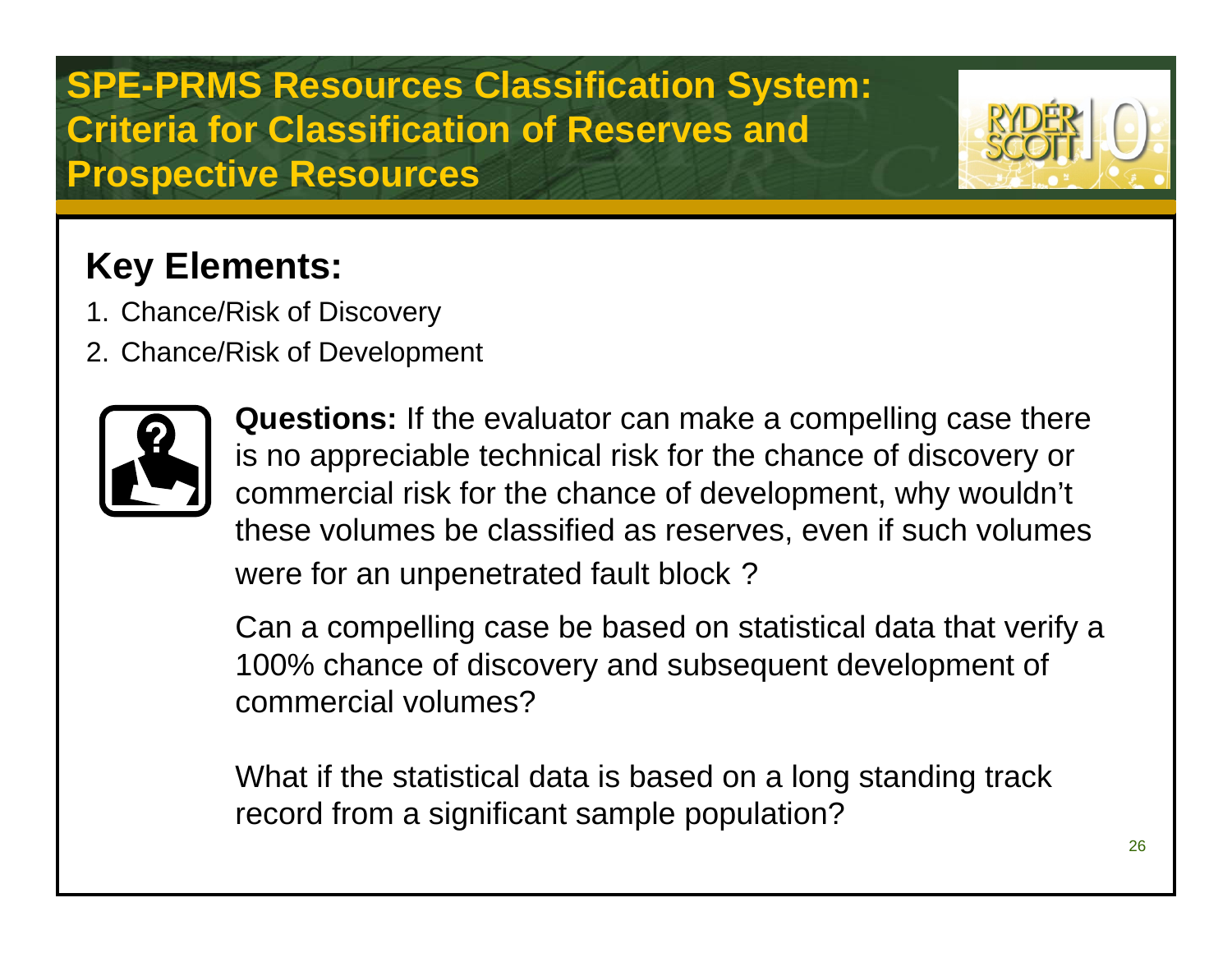### **Key Elements:**

- 1. Chance/Risk of Discovery
- 2. Chance/Risk of Development



**Questions:** If the evaluator can make a compelling case there is no appreciable technical risk for the chance of discovery or commercial risk for the chance of development, why wouldn't these volumes be classified as reserves, even if such volumes were for an unpenetrated fault block ?

Can a compelling case be based on statistical data that verify a 100% chance of discovery and subsequent development of commercial volumes?

What if the statistical data is based on a long standing track record from a significant sample population?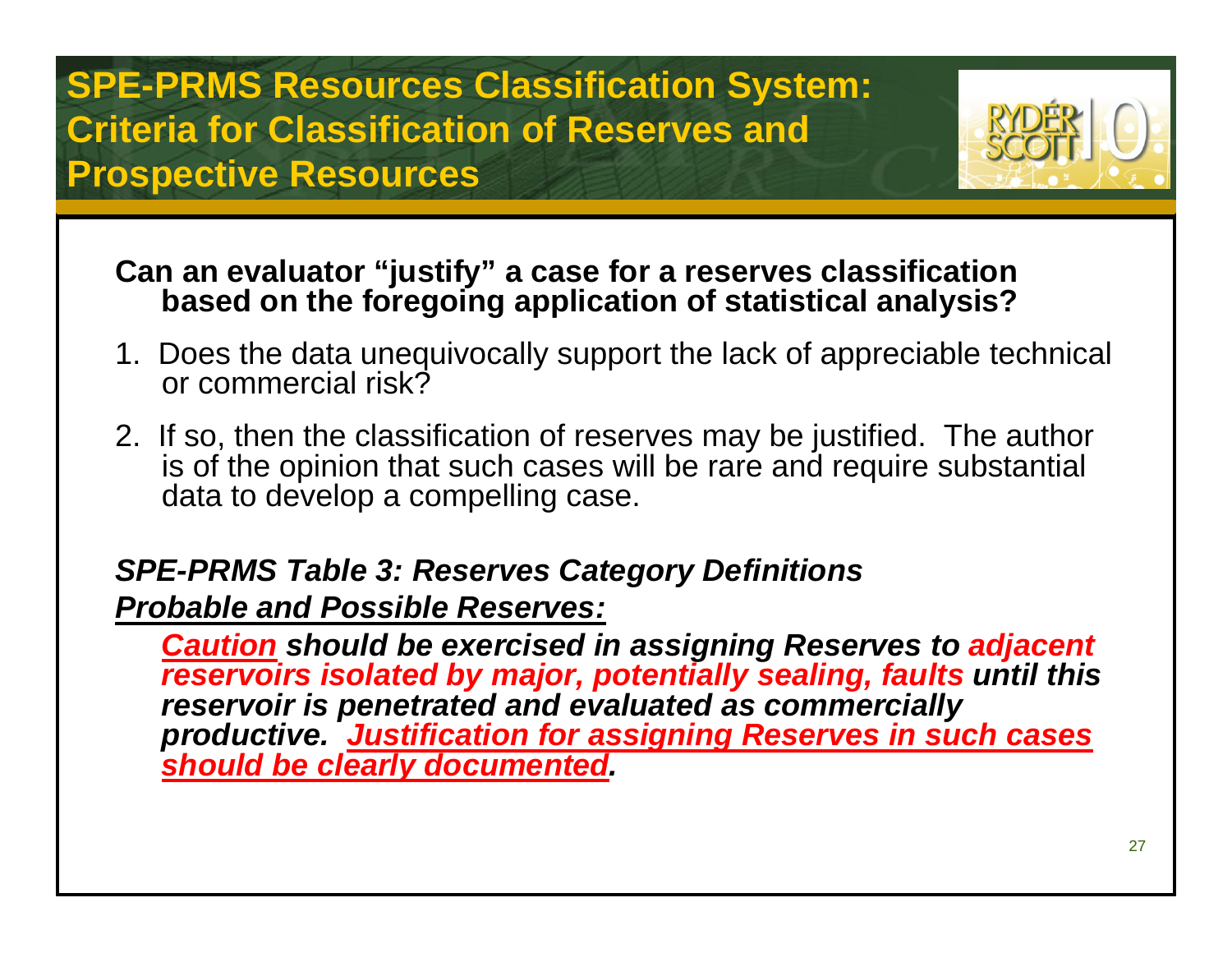

### **Can an evaluator "justify" a case for a reserves classification based on the foregoing application of statistical analysis?**

- 1. Does the data unequivocally support the lack of appreciable technical or commercial risk?
- 2. If so, then the classification of reserves may be justified. The author is of the opinion that such cases will be rare and require substantial data to develop a compelling case.

### *SPE-PRMS Table 3: Reserves Category Definitions*

*Probable and Possible Reserves:*

*Caution should be exercised in assigning Reserves to adjacent reservoirs isolated by major, potentially sealing, faults until this reservoir is penetrated and evaluated as commercially productive. Justification for assigning Reserves in such cases should be clearly documented.*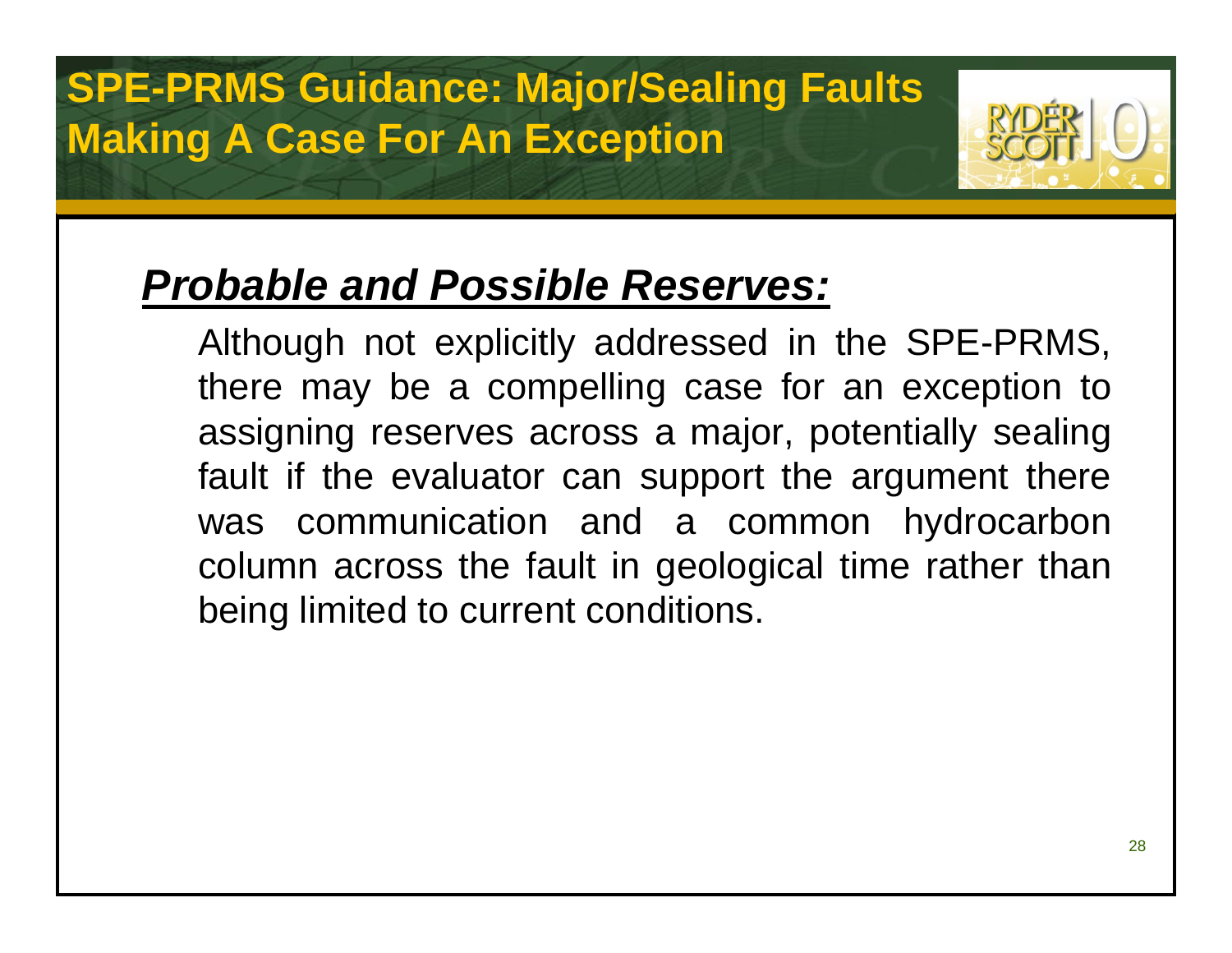## **SPE-PRMS Guidance: Major/Sealing Faults Making A Case For An Exception**



## *Probable and Possible Reserves:*

Although not explicitly addressed in the SPE-PRMS, there may be a compelling case for an exception to assigning reserves across a major, potentially sealing fault if the evaluator can support the argument there was communication and a common hydrocarbon column across the fault in geological time rather than being limited to current conditions.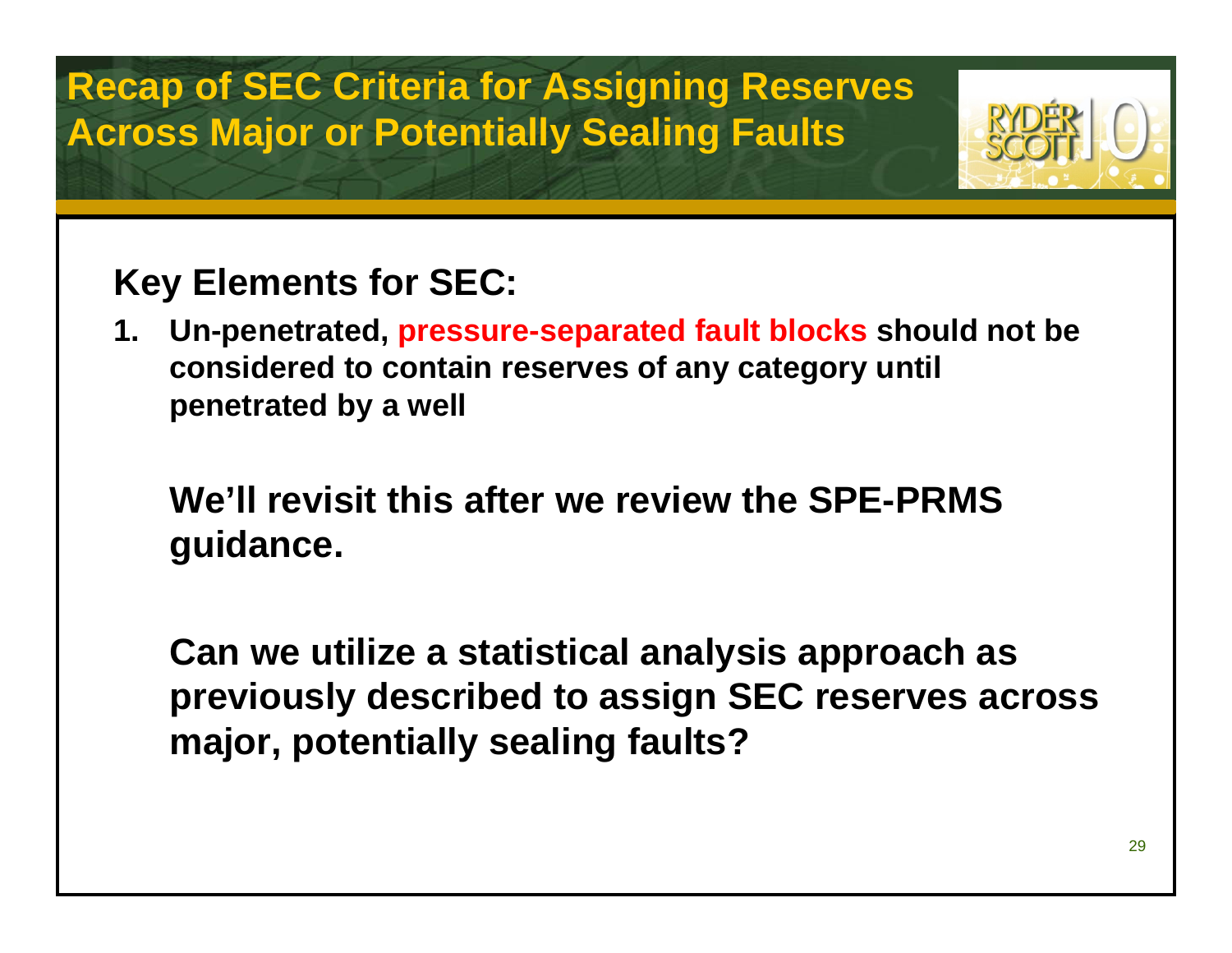### **Recap of SEC Criteria for Assigning Reserves Across Major or Potentially Sealing Faults**



### **Key Elements for SEC:**

**1. Un-penetrated, pressure-separated fault blocks should not be considered to contain reserves of any category until penetrated by a well**

### **We'll revisit this after we review the SPE-PRMS guidance.**

**Can we utilize a statistical analysis approach as previously described to assign SEC reserves across major, potentially sealing faults?**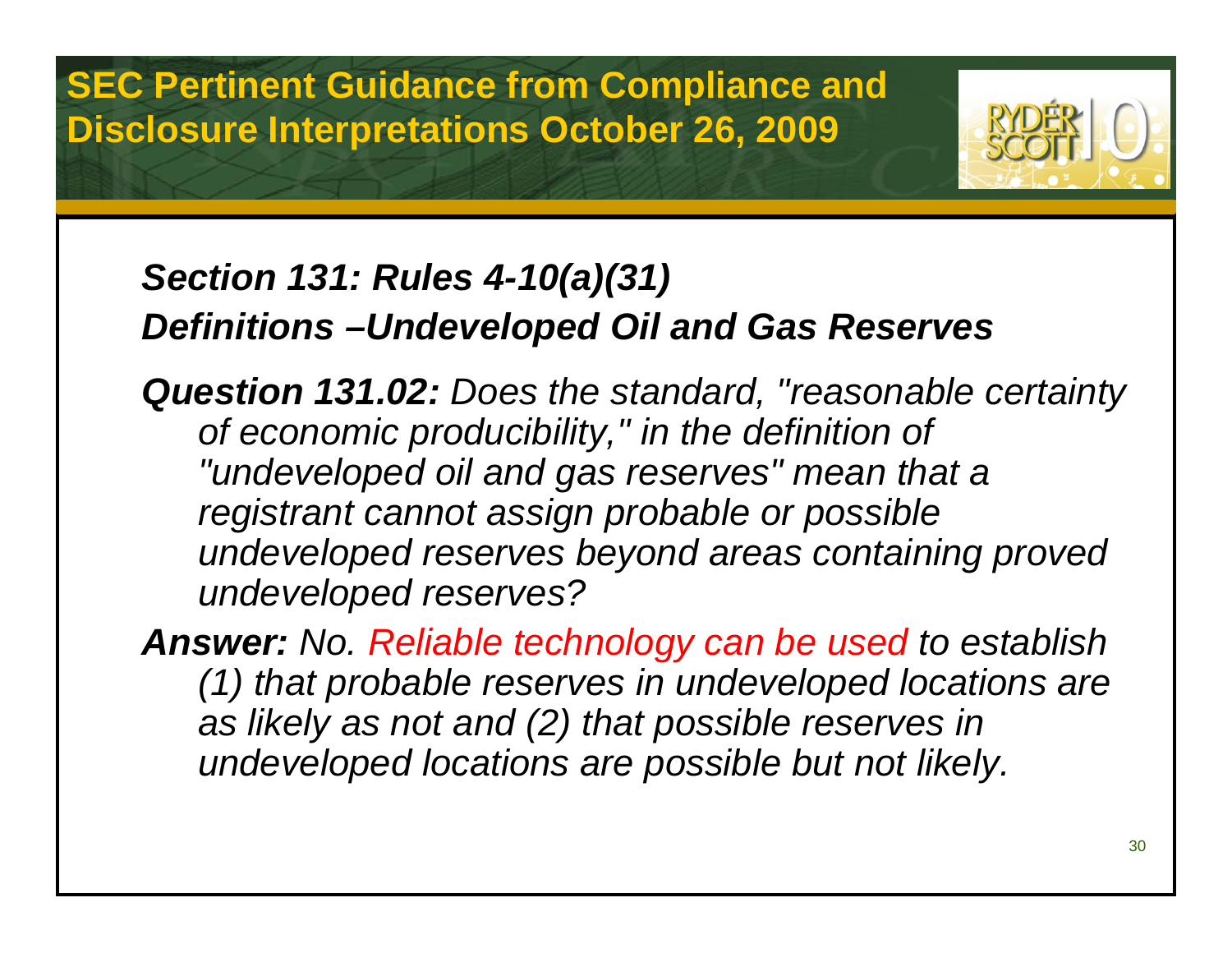**SEC Pertinent Guidance from Compliance and Disclosure Interpretations October 26, 2009**



### *Section 131: Rules 4-10(a)(31) Definitions –Undeveloped Oil and Gas Reserves*

*Question 131.02: Does the standard, "reasonable certainty of economic producibility," in the definition of "undeveloped oil and gas reserves" mean that a registrant cannot assign probable or possible undeveloped reserves beyond areas containing proved undeveloped reserves?*

*Answer: No. Reliable technology can be used to establish (1) that probable reserves in undeveloped locations are as likely as not and (2) that possible reserves in undeveloped locations are possible but not likely.*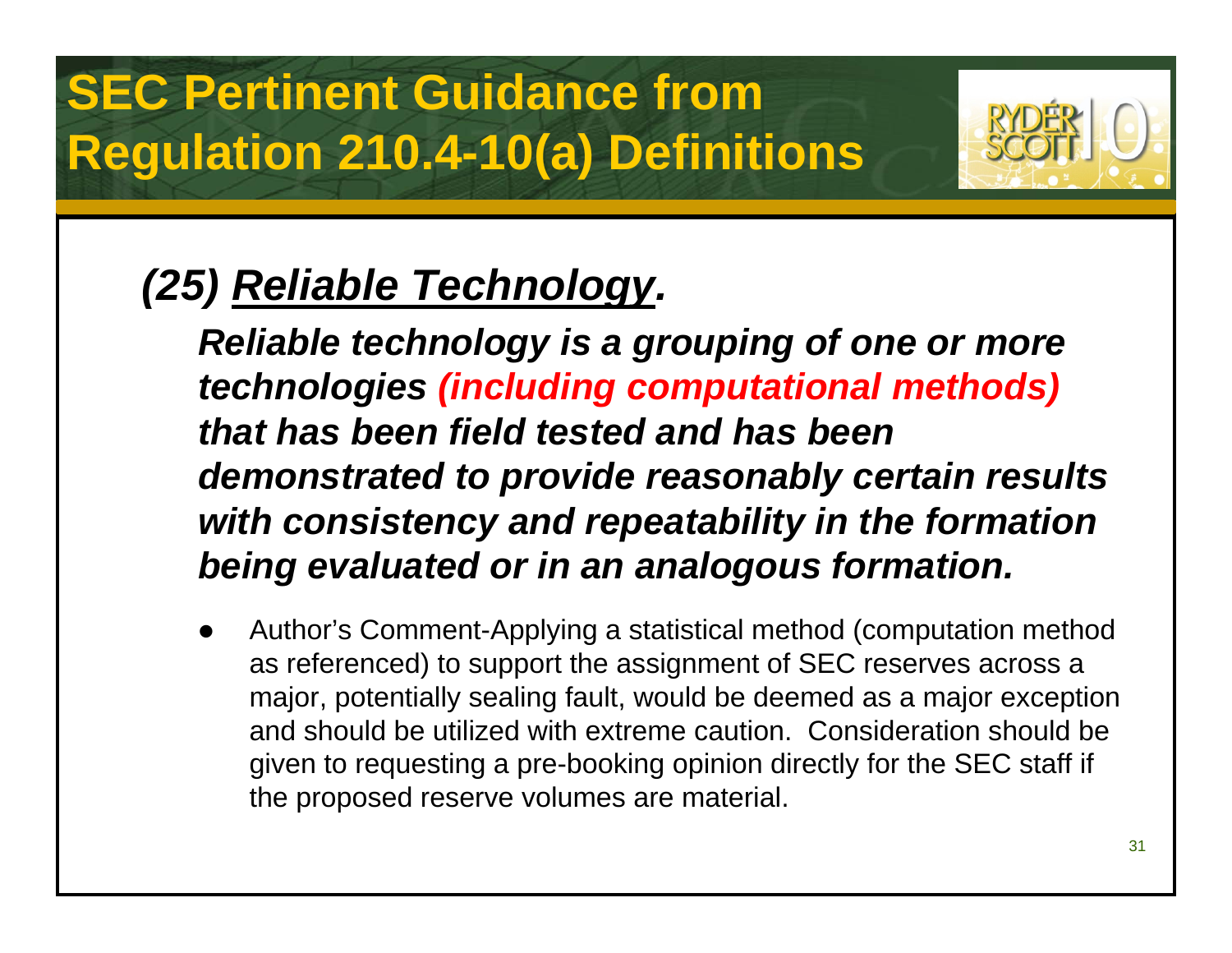

## *(25) Reliable Technology.*

*Reliable technology is a grouping of one or more technologies (including computational methods) that has been field tested and has been demonstrated to provide reasonably certain results with consistency and repeatability in the formation being evaluated or in an analogous formation.*

 $\bullet$  Author's Comment-Applying a statistical method (computation method as referenced) to support the assignment of SEC reserves across a major, potentially sealing fault, would be deemed as a major exception and should be utilized with extreme caution. Consideration should be given to requesting a pre-booking opinion directly for the SEC staff if the proposed reserve volumes are material.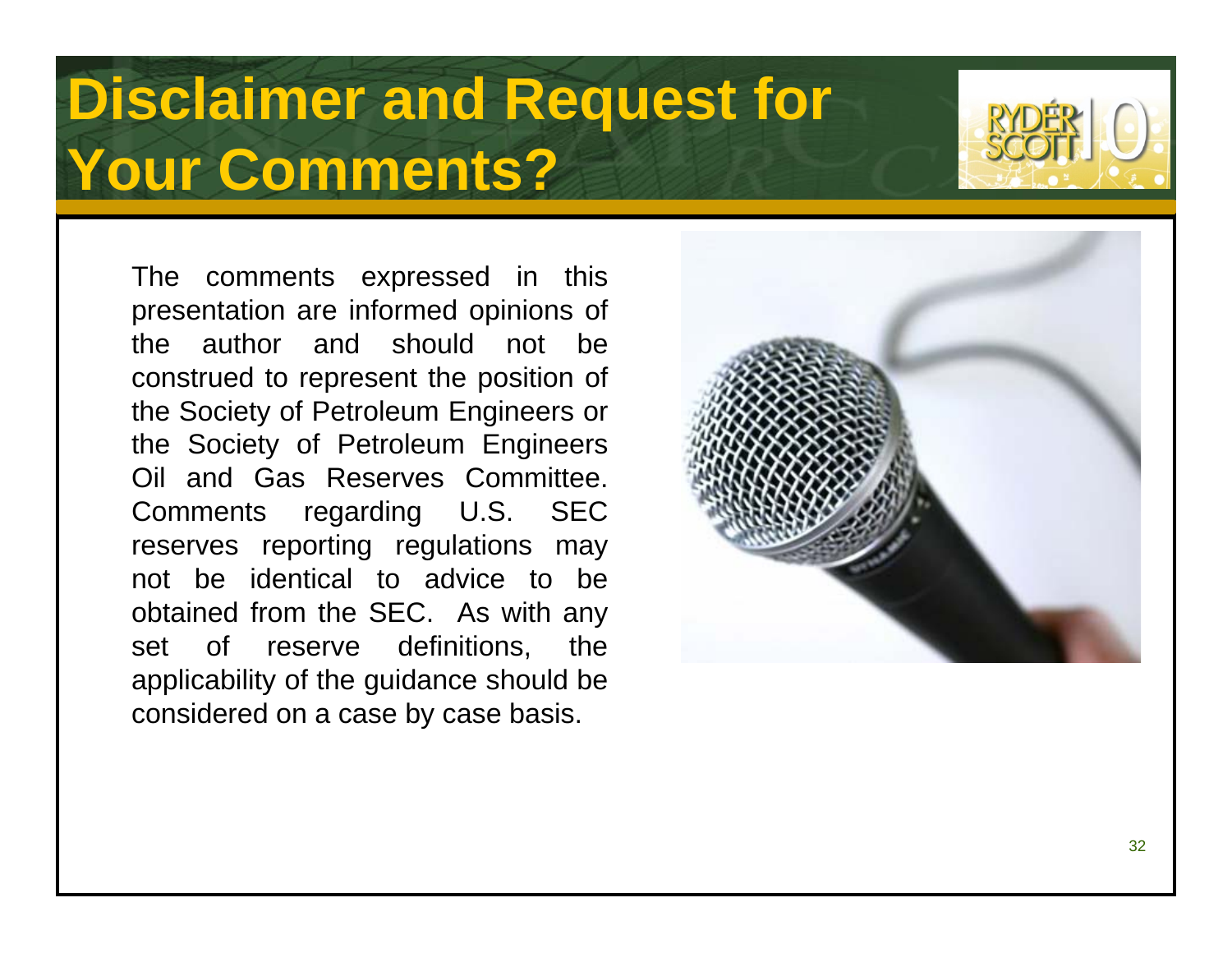# **Disclaimer and Request for Your Comments?**



The comments expressed in this presentation are informed opinions of the author and should not be construed to represent the position of the Society of Petroleum Engineers or the Society of Petroleum Engineers Oil and Gas Reserves Committee. Comments regarding U.S. SEC reserves reporting regulations may not be identical to advice to be obtained from the SEC. As with any set of reserve definitions, the applicability of the guidance should be considered on a case by case basis.

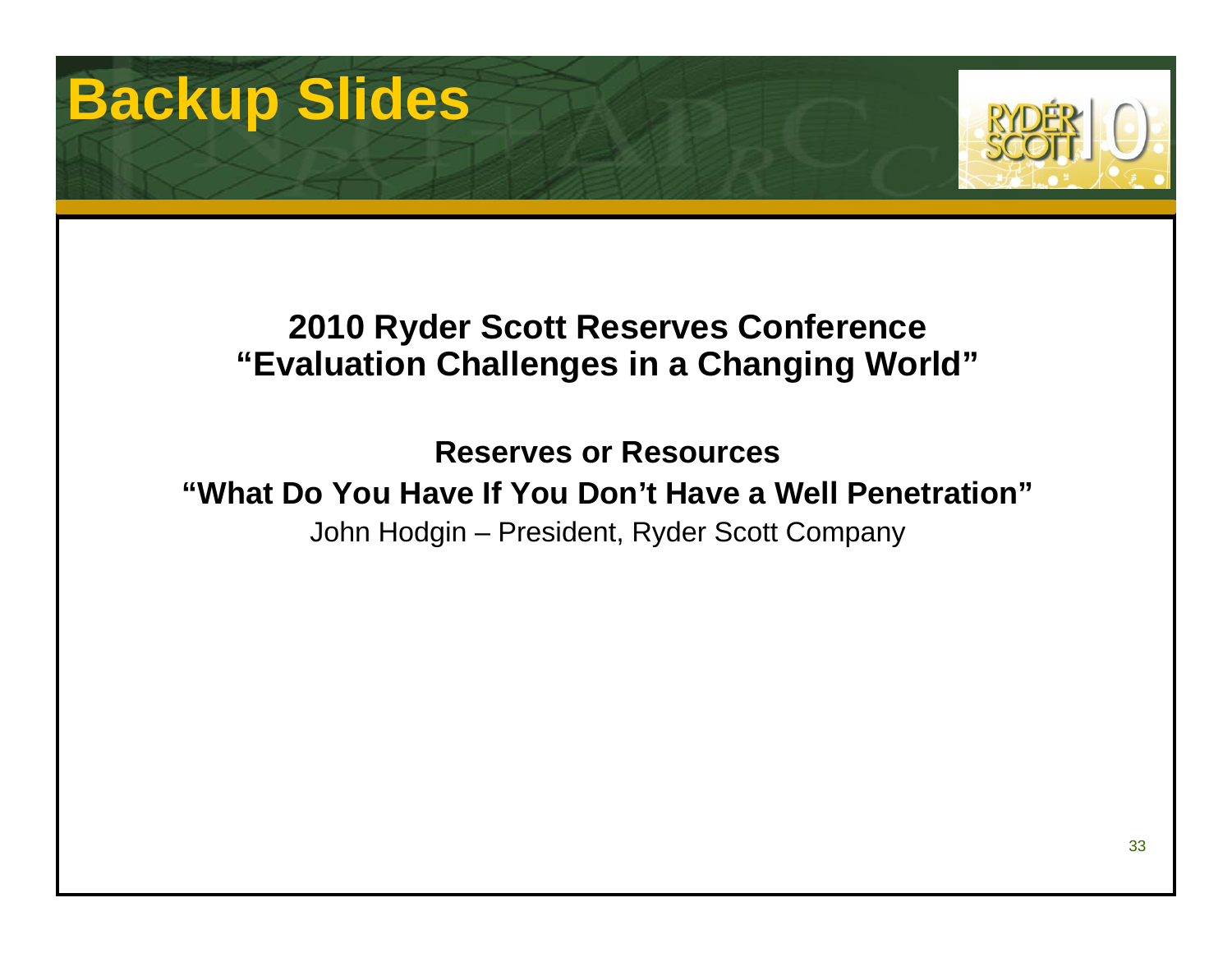# **Backup Slides**



### **2010 Ryder Scott Reserves Conference "Evaluation Challenges in a Changing World"**

**Reserves or Resources"What Do You Have If You Don't Have a Well Penetration"**John Hodgin – President, Ryder Scott Company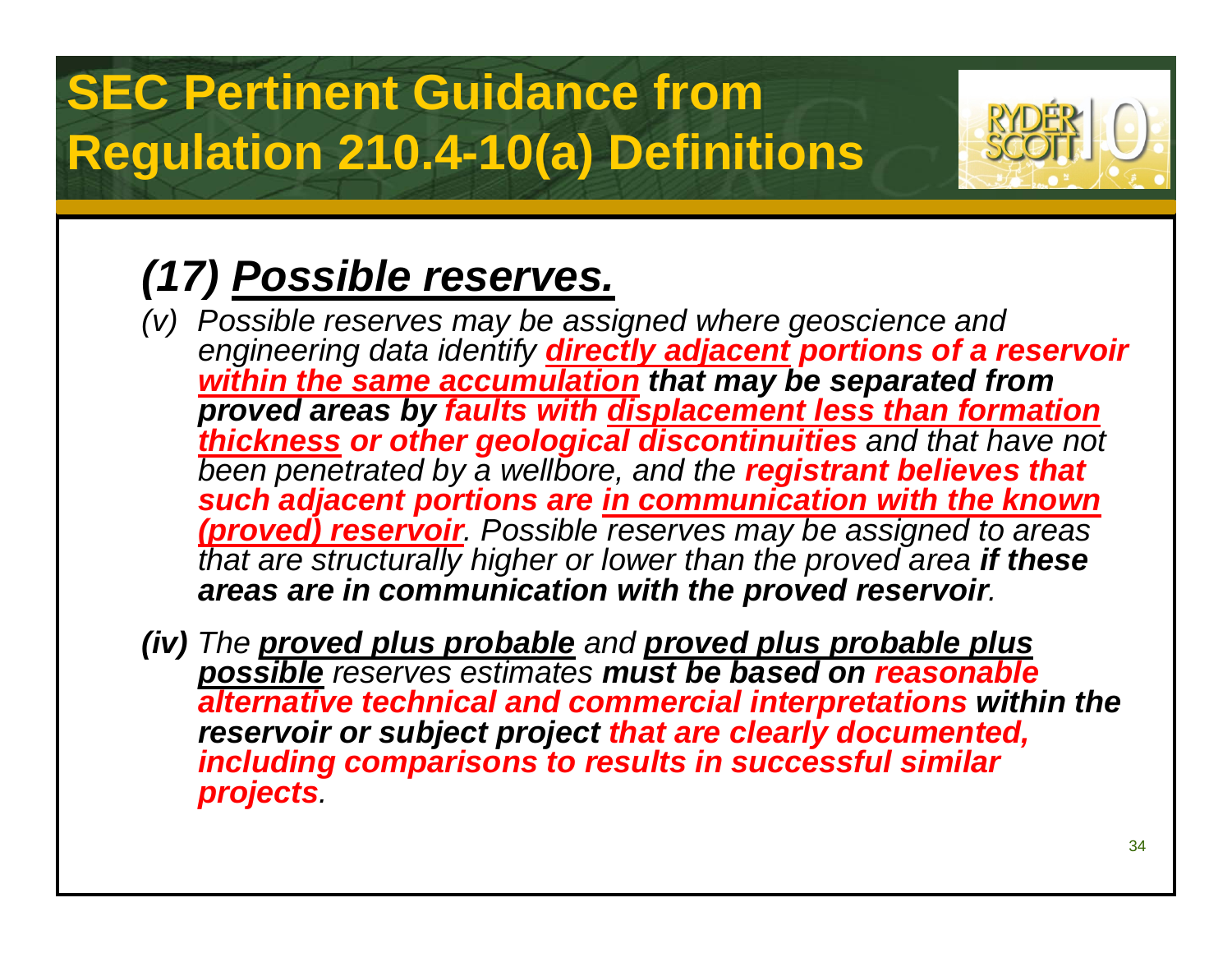# **SEC Pertinent Guidance from Regulation 210.4-10(a) Definitions**



## *(17) Possible reserves.*

- *(v) Possible reserves may be assigned where geoscience and engineering data identify directly adjacent portions of a reservoir within the same accumulation that may be separated from proved areas by faults with displacement less than formation thickness or other geological discontinuities and that have not been penetrated by a wellbore, and the registrant believes that such adjacent portions are in communication with the known (proved) reservoir. Possible reserves may be assigned to areas that are structurally higher or lower than the proved area if these areas are in communication with the proved reservoir.*
- *(iv) The proved plus probable and proved plus probable plus possible reserves estimates must be based on reasonable alternative technical and commercial interpretations within the reservoir or subject project that are clearly documented, including comparisons to results in successful similar projects.*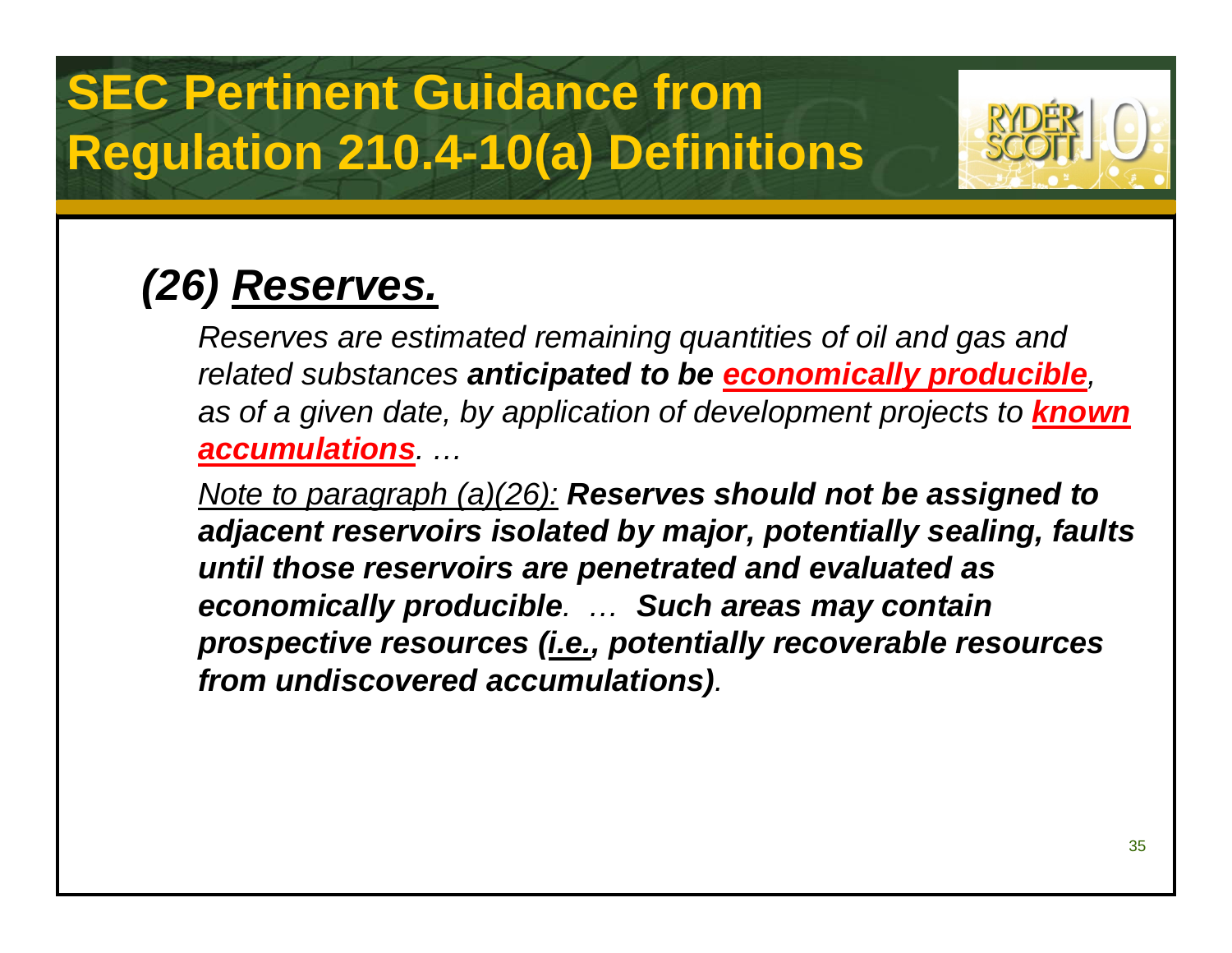## **SEC Pertinent Guidance from Regulation 210.4-10(a) Definitions**



## *(26) Reserves.*

*Reserves are estimated remaining quantities of oil and gas and related substances anticipated to be economically producible, as of a given date, by application of development projects to known accumulations. …*

*Note to paragraph (a)(26): Reserves should not be assigned to adjacent reservoirs isolated by major, potentially sealing, faults until those reservoirs are penetrated and evaluated as economically producible. … Such areas may contain prospective resources (i.e., potentially recoverable resources from undiscovered accumulations).*